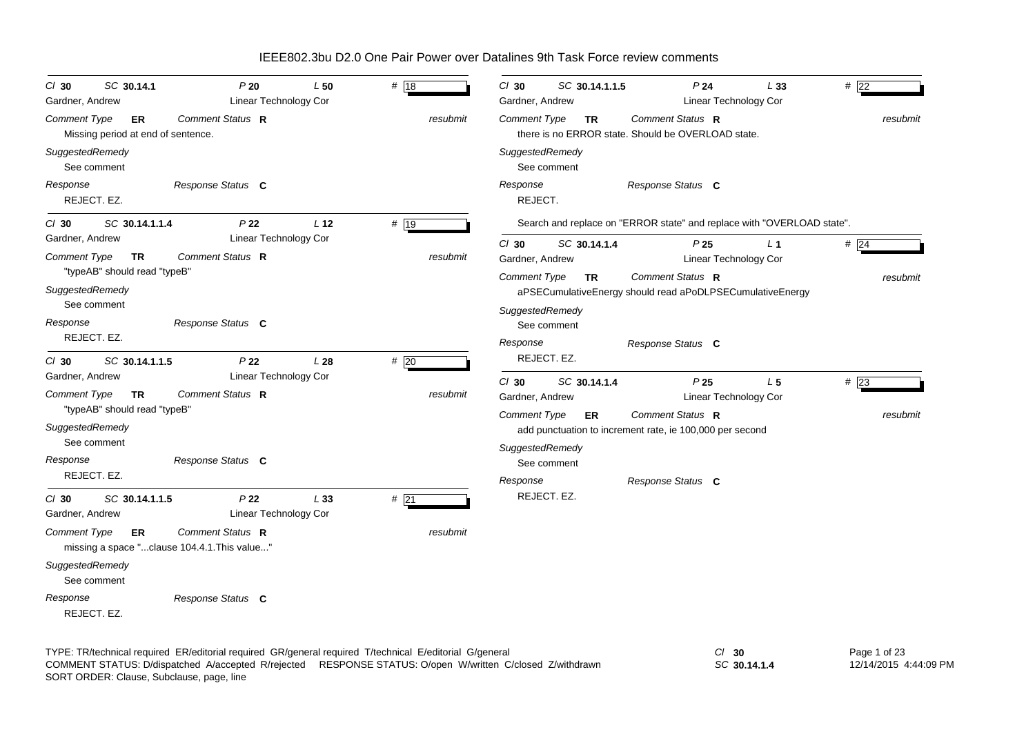| SC 30.14.1<br>$Cl$ 30<br>Gardner, Andrew                                                                               | P20<br>Linear Technology Cor                                     | L50             | # 18     | $Cl$ 30<br>SC 30.14.1.1.5<br>Gardner, Andrew                                        | P24<br>L33<br>Linear Technology Cor                                                                                             | #22             |
|------------------------------------------------------------------------------------------------------------------------|------------------------------------------------------------------|-----------------|----------|-------------------------------------------------------------------------------------|---------------------------------------------------------------------------------------------------------------------------------|-----------------|
| Comment Type<br>ER<br>Missing period at end of sentence.                                                               | Comment Status R                                                 |                 | resubmit | Comment Type<br><b>TR</b>                                                           | Comment Status R<br>there is no ERROR state. Should be OVERLOAD state.                                                          | resubmit        |
| SuggestedRemedy<br>See comment                                                                                         |                                                                  |                 |          | SuggestedRemedy<br>See comment                                                      |                                                                                                                                 |                 |
| Response<br>REJECT. EZ.                                                                                                | Response Status C                                                |                 |          | Response<br>REJECT.                                                                 | Response Status C                                                                                                               |                 |
| SC 30.14.1.1.4<br>$CI$ 30                                                                                              | P <sub>22</sub>                                                  | L <sub>12</sub> | # 19     |                                                                                     | Search and replace on "ERROR state" and replace with "OVERLOAD state".                                                          |                 |
| Gardner, Andrew<br>Comment Type<br><b>TR</b><br>"typeAB" should read "typeB"<br>SuggestedRemedy<br>See comment         | Linear Technology Cor<br>Comment Status R                        |                 | resubmit | $Cl$ 30<br>SC 30.14.1.4<br>Gardner, Andrew<br>Comment Type<br>TR                    | P25<br>L <sub>1</sub><br>Linear Technology Cor<br>Comment Status R<br>aPSECumulativeEnergy should read aPoDLPSECumulativeEnergy | #24<br>resubmit |
| Response<br>REJECT. EZ.                                                                                                | Response Status C                                                |                 |          | SuggestedRemedy<br>See comment<br>Response                                          | Response Status C                                                                                                               |                 |
| SC 30.14.1.1.5<br>$CI$ 30<br>Gardner, Andrew                                                                           | P <sub>22</sub><br>Linear Technology Cor                         | L28             | #20      | REJECT. EZ.<br>$Cl$ 30<br>SC 30.14.1.4                                              | P <sub>25</sub><br>L <sub>5</sub>                                                                                               | #23             |
| Comment Type<br><b>TR</b><br>"typeAB" should read "typeB"<br>SuggestedRemedy<br>See comment<br>Response<br>REJECT. EZ. | Comment Status R<br>Response Status C                            |                 | resubmit | Gardner, Andrew<br>Comment Type<br>ER<br>SuggestedRemedy<br>See comment<br>Response | Linear Technology Cor<br>Comment Status R<br>add punctuation to increment rate, ie 100,000 per second<br>Response Status C      | resubmit        |
| SC 30.14.1.1.5<br>$CI$ 30<br>Gardner, Andrew                                                                           | P <sub>22</sub><br>Linear Technology Cor                         | L33             | # 21     | REJECT. EZ.                                                                         |                                                                                                                                 |                 |
| Comment Type<br>ER<br>SuggestedRemedy                                                                                  | Comment Status R<br>missing a space "clause 104.4.1. This value" |                 | resubmit |                                                                                     |                                                                                                                                 |                 |
| See comment<br>Response<br>REJECT. EZ.                                                                                 | Response Status C                                                |                 |          |                                                                                     |                                                                                                                                 |                 |
|                                                                                                                        |                                                                  |                 |          |                                                                                     |                                                                                                                                 |                 |

TYPE: TR/technical required ER/editorial required GR/general required T/technical E/editorial G/general *Cl* **30** SORT ORDER: Clause, Subclause, page, line COMMENT STATUS: D/dispatched A/accepted R/rejected RESPONSE STATUS: O/open W/written C/closed Z/withdrawn

*SC* **30.14.1.4**

Page 1 of 23 12/14/2015 4:44:09 PM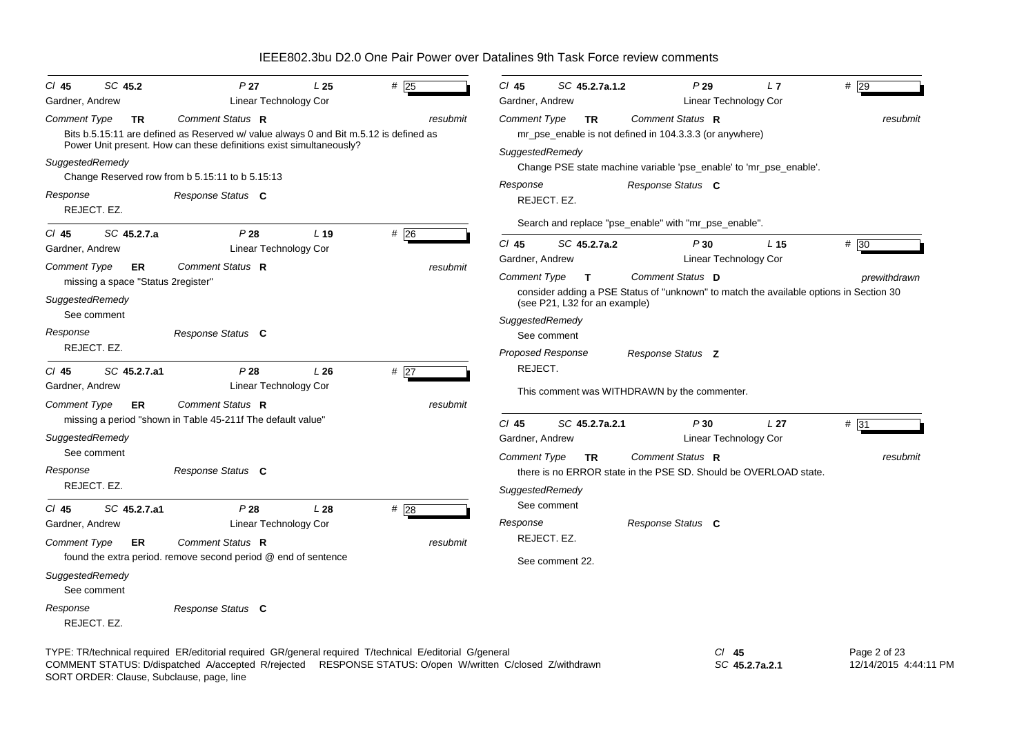| SC 45.2<br>$CI$ 45                                                                                                           | P 27                                                                                                                                                                                                                                                                              | L25             | #25             | $CI$ 45<br>SC 45.2.7a.1.2                                                                                                                             | P29                                                                                                                                                                                             | L7<br>$#$ 29             |
|------------------------------------------------------------------------------------------------------------------------------|-----------------------------------------------------------------------------------------------------------------------------------------------------------------------------------------------------------------------------------------------------------------------------------|-----------------|-----------------|-------------------------------------------------------------------------------------------------------------------------------------------------------|-------------------------------------------------------------------------------------------------------------------------------------------------------------------------------------------------|--------------------------|
| Gardner, Andrew<br><b>Comment Type</b><br><b>TR</b><br>SuggestedRemedy<br>Response<br>REJECT. EZ.                            | Linear Technology Cor<br>Comment Status R<br>Bits b.5.15:11 are defined as Reserved w/ value always 0 and Bit m.5.12 is defined as<br>Power Unit present. How can these definitions exist simultaneously?<br>Change Reserved row from b 5.15:11 to b 5.15:13<br>Response Status C |                 | resubmit        | Gardner, Andrew<br><b>Comment Type</b><br><b>TR</b><br>SuggestedRemedy<br>Response<br>REJECT. EZ.                                                     | Linear Technology Cor<br>Comment Status R<br>mr_pse_enable is not defined in 104.3.3.3 (or anywhere)<br>Change PSE state machine variable 'pse_enable' to 'mr_pse_enable'.<br>Response Status C | resubmit                 |
| SC 45.2.7.a<br>$CI$ 45<br>Gardner, Andrew                                                                                    | P28<br>Linear Technology Cor                                                                                                                                                                                                                                                      | L <sub>19</sub> | #26             | $Cl$ 45<br>SC 45.2.7a.2                                                                                                                               | Search and replace "pse_enable" with "mr_pse_enable".<br>P30                                                                                                                                    | L <sub>15</sub><br>#30   |
| <b>Comment Type</b><br>ER<br>missing a space "Status 2register"<br>SuggestedRemedy<br>See comment<br>Response<br>REJECT. EZ. | Comment Status R<br>Response Status C                                                                                                                                                                                                                                             |                 | resubmit        | Gardner, Andrew<br><b>Comment Type</b><br>$\mathbf{T}$<br>(see P21, L32 for an example)<br>SuggestedRemedy<br>See comment<br><b>Proposed Response</b> | Linear Technology Cor<br>Comment Status D<br>consider adding a PSE Status of "unknown" to match the available options in Section 30<br>Response Status Z                                        | prewithdrawn             |
| $Cl$ 45<br>SC 45.2.7.a1<br>Gardner, Andrew<br><b>Comment Type</b><br><b>ER</b>                                               | P28<br>Linear Technology Cor<br>Comment Status R                                                                                                                                                                                                                                  | L26             | #27<br>resubmit | REJECT.                                                                                                                                               | This comment was WITHDRAWN by the commenter.                                                                                                                                                    |                          |
| SuggestedRemedy<br>See comment<br>Response<br>REJECT. EZ.                                                                    | missing a period "shown in Table 45-211f The default value"<br>Response Status C                                                                                                                                                                                                  |                 |                 | SC 45.2.7a.2.1<br>$CI$ 45<br>Gardner, Andrew<br><b>Comment Type</b><br><b>TR</b>                                                                      | P30<br>Linear Technology Cor<br>Comment Status R<br>there is no ERROR state in the PSE SD. Should be OVERLOAD state.                                                                            | # 31<br>L 27<br>resubmit |
| SC 45.2.7.a1<br>$Cl$ 45<br>Gardner, Andrew<br><b>Comment Type</b><br><b>ER</b>                                               | P28<br>Linear Technology Cor<br>Comment Status R                                                                                                                                                                                                                                  | L <sub>28</sub> | #28<br>resubmit | SuggestedRemedy<br>See comment<br>Response<br>REJECT. EZ.                                                                                             | Response Status C                                                                                                                                                                               |                          |
| SuggestedRemedy<br>See comment                                                                                               | found the extra period. remove second period @ end of sentence                                                                                                                                                                                                                    |                 |                 | See comment 22.                                                                                                                                       |                                                                                                                                                                                                 |                          |
| Response<br>REJECT, EZ.                                                                                                      | Response Status C<br>TYPE: TR/technical required ER/editorial required GR/general required T/technical E/editorial G/general                                                                                                                                                      |                 |                 |                                                                                                                                                       | $Cl$ 45                                                                                                                                                                                         | Page 2 of 23             |

COMMENT STATUS: D/dispatched A/accepted R/rejected RESPONSE STATUS: O/open W/written C/closed Z/withdrawn

SORT ORDER: Clause, Subclause, page, line

*SC* **45.2.7a.2.1** Page 2 of 23 12/14/2015 4:44:11 PM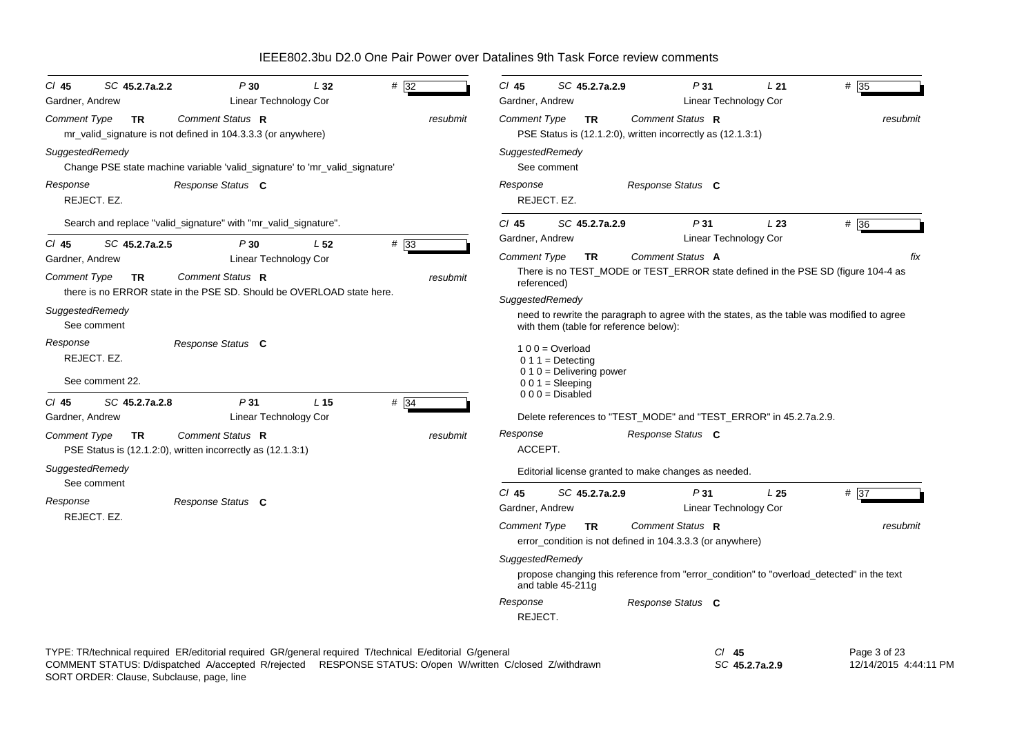| $CI$ 45<br>SC 45.2.7a.2.2<br>P30<br>L32<br># 32<br>Linear Technology Cor<br>Gardner, Andrew                                                                                                                          | $CI$ 45<br>SC 45.2.7a.2.9<br>P31<br>#35<br>L21<br>Gardner, Andrew<br>Linear Technology Cor                                                              |
|----------------------------------------------------------------------------------------------------------------------------------------------------------------------------------------------------------------------|---------------------------------------------------------------------------------------------------------------------------------------------------------|
| Comment Status R<br><b>Comment Type</b><br><b>TR</b><br>resubmit<br>mr_valid_signature is not defined in 104.3.3.3 (or anywhere)                                                                                     | Comment Type<br>Comment Status R<br><b>TR</b><br>resubmit<br>PSE Status is (12.1.2.0), written incorrectly as (12.1.3.1)                                |
| SuggestedRemedy<br>Change PSE state machine variable 'valid_signature' to 'mr_valid_signature'                                                                                                                       | SuggestedRemedy<br>See comment                                                                                                                          |
| Response<br>Response Status C<br>REJECT. EZ.                                                                                                                                                                         | Response<br>Response Status C<br>REJECT. EZ.                                                                                                            |
| Search and replace "valid_signature" with "mr_valid_signature".                                                                                                                                                      | #36<br>$Cl$ 45<br>SC 45.2.7a.2.9<br>P31<br>L23                                                                                                          |
| P30<br>#33<br>$CI$ 45<br>SC 45.2.7a.2.5<br>L <sub>52</sub>                                                                                                                                                           | Linear Technology Cor<br>Gardner, Andrew                                                                                                                |
| Gardner, Andrew<br>Linear Technology Cor<br>Comment Status R<br><b>Comment Type</b><br><b>TR</b><br>resubmit                                                                                                         | <b>Comment Type</b><br>Comment Status A<br>TR<br>fix<br>There is no TEST_MODE or TEST_ERROR state defined in the PSE SD (figure 104-4 as<br>referenced) |
| there is no ERROR state in the PSE SD. Should be OVERLOAD state here.<br>SuggestedRemedy<br>See comment                                                                                                              | SuggestedRemedy<br>need to rewrite the paragraph to agree with the states, as the table was modified to agree<br>with them (table for reference below): |
| Response Status C<br>Response<br>REJECT. EZ.<br>See comment 22.                                                                                                                                                      | $100 = Overload$<br>$0 1 1 =$ Detecting<br>$0 1 0 =$ Delivering power<br>$001 = Sleeping$                                                               |
| #34<br>SC 45.2.7a.2.8<br>P31<br>L <sub>15</sub><br>$CI$ 45<br>Gardner, Andrew<br>Linear Technology Cor                                                                                                               | $000 = Disabled$<br>Delete references to "TEST_MODE" and "TEST_ERROR" in 45.2.7a.2.9.                                                                   |
| Comment Status R<br><b>Comment Type</b><br>resubmit<br><b>TR</b><br>PSE Status is (12.1.2.0), written incorrectly as (12.1.3.1)                                                                                      | Response<br>Response Status C<br>ACCEPT.                                                                                                                |
| SuggestedRemedy<br>See comment                                                                                                                                                                                       | Editorial license granted to make changes as needed.                                                                                                    |
| Response<br>Response Status C<br>REJECT. EZ.                                                                                                                                                                         | #37<br>$CI$ 45<br>SC 45.2.7a.2.9<br>P31<br>L <sub>25</sub><br>Gardner, Andrew<br>Linear Technology Cor                                                  |
|                                                                                                                                                                                                                      | <b>Comment Type</b><br>Comment Status R<br><b>TR</b><br>resubmit<br>error_condition is not defined in 104.3.3.3 (or anywhere)                           |
|                                                                                                                                                                                                                      | SuggestedRemedy<br>propose changing this reference from "error_condition" to "overload_detected" in the text<br>and table 45-211g                       |
|                                                                                                                                                                                                                      | Response<br>Response Status C<br>REJECT.                                                                                                                |
| TYPE: TR/technical required ER/editorial required GR/general required T/technical E/editorial G/general<br>COMMENT STATUS: D/dispatched A/accepted R/rejected RESPONSE STATUS: O/open W/written C/closed Z/withdrawn | $Cl$ 45<br>Page 3 of 23<br>SC 45.2.7a.2.9<br>12/14/2015 4:44:11 PM                                                                                      |

SORT ORDER: Clause, Subclause, page, line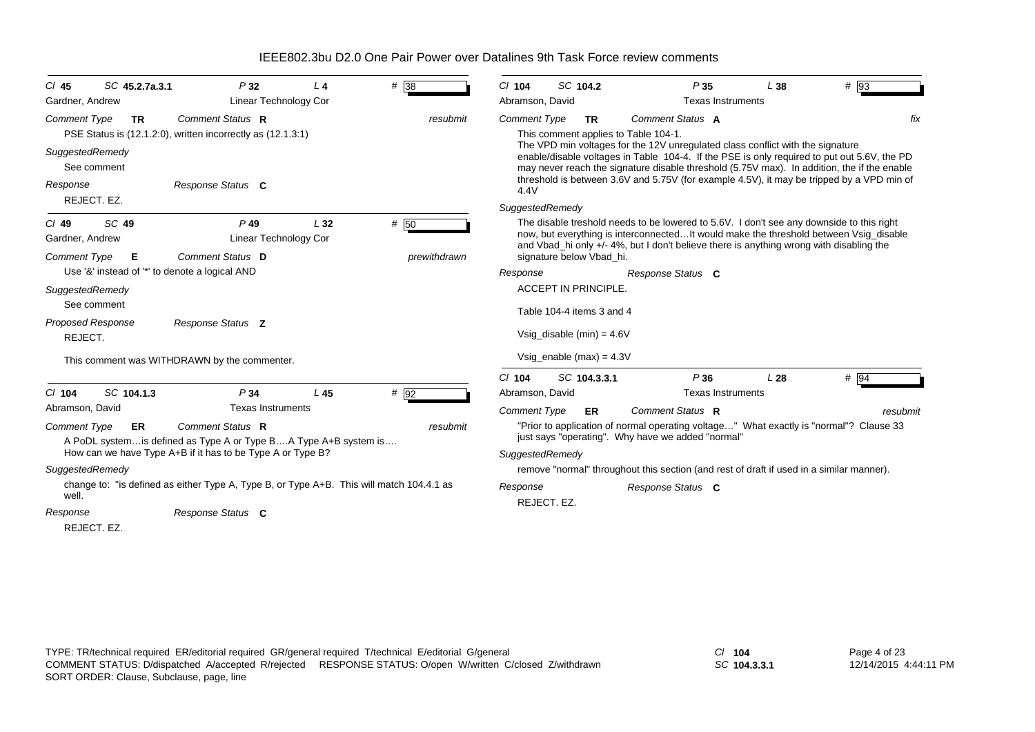| SC 45.2.7a.3.1<br>$CI$ 45                                       | P32                                                                                                                                                                            | L <sub>4</sub> | # 38                 | $CI$ 104                                                                                                                                                                                                                                                                                                                                                                                                                                                                  | SC 104.2                                                 | P35                                                                                                                                                                                                                                                                          | L38 | # 93     |  |
|-----------------------------------------------------------------|--------------------------------------------------------------------------------------------------------------------------------------------------------------------------------|----------------|----------------------|---------------------------------------------------------------------------------------------------------------------------------------------------------------------------------------------------------------------------------------------------------------------------------------------------------------------------------------------------------------------------------------------------------------------------------------------------------------------------|----------------------------------------------------------|------------------------------------------------------------------------------------------------------------------------------------------------------------------------------------------------------------------------------------------------------------------------------|-----|----------|--|
| Gardner, Andrew                                                 | <b>Linear Technology Cor</b>                                                                                                                                                   |                |                      | Abramson, David                                                                                                                                                                                                                                                                                                                                                                                                                                                           |                                                          | <b>Texas Instruments</b>                                                                                                                                                                                                                                                     |     |          |  |
| <b>Comment Type</b><br>TR.<br>SuggestedRemedy<br>See comment    | Comment Status R<br>PSE Status is (12.1.2.0), written incorrectly as (12.1.3.1)                                                                                                |                | resubmit             | Comment Status A<br><b>Comment Type</b><br><b>TR</b><br>This comment applies to Table 104-1.<br>The VPD min voltages for the 12V unregulated class conflict with the signature<br>enable/disable voltages in Table 104-4. If the PSE is only required to put out 5.6V, the PD<br>may never reach the signature disable threshold (5.75V max). In addition, the if the enable<br>threshold is between 3.6V and 5.75V (for example 4.5V), it may be tripped by a VPD min of |                                                          |                                                                                                                                                                                                                                                                              |     |          |  |
| Response<br>REJECT. EZ.                                         | Response Status C                                                                                                                                                              |                |                      | 4.4V<br>SuggestedRemedy                                                                                                                                                                                                                                                                                                                                                                                                                                                   |                                                          |                                                                                                                                                                                                                                                                              |     |          |  |
| SC 49<br>$CI$ 49<br>Gardner, Andrew<br><b>Comment Type</b><br>Е | $P$ 49<br>Linear Technology Cor<br>Comment Status D                                                                                                                            | L32            | # 50<br>prewithdrawn |                                                                                                                                                                                                                                                                                                                                                                                                                                                                           | signature below Vbad_hi.                                 | The disable treshold needs to be lowered to 5.6V. I don't see any downside to this right<br>now, but everything is interconnectedIt would make the threshold between Vsig_disable<br>and Vbad_hi only +/- 4%, but I don't believe there is anything wrong with disabling the |     |          |  |
| Use '&' instead of '*' to denote a logical AND                  |                                                                                                                                                                                |                |                      | Response                                                                                                                                                                                                                                                                                                                                                                                                                                                                  |                                                          | Response Status C                                                                                                                                                                                                                                                            |     |          |  |
| SuggestedRemedy<br>See comment                                  |                                                                                                                                                                                |                |                      |                                                                                                                                                                                                                                                                                                                                                                                                                                                                           | <b>ACCEPT IN PRINCIPLE.</b><br>Table 104-4 items 3 and 4 |                                                                                                                                                                                                                                                                              |     |          |  |
| <b>Proposed Response</b><br>REJECT.                             | Response Status Z                                                                                                                                                              |                |                      |                                                                                                                                                                                                                                                                                                                                                                                                                                                                           | Vsig_disable (min) = $4.6V$                              |                                                                                                                                                                                                                                                                              |     |          |  |
|                                                                 | This comment was WITHDRAWN by the commenter.                                                                                                                                   |                |                      | Vsig enable $(max) = 4.3V$                                                                                                                                                                                                                                                                                                                                                                                                                                                |                                                          |                                                                                                                                                                                                                                                                              |     |          |  |
| SC 104.1.3<br>$CI$ 104                                          | P34                                                                                                                                                                            | L45            | # 92                 | $Cl$ 104<br>Abramson, David                                                                                                                                                                                                                                                                                                                                                                                                                                               | SC 104.3.3.1                                             | P36<br><b>Texas Instruments</b>                                                                                                                                                                                                                                              | L28 | $\#$ 94  |  |
| Abramson, David<br><b>Comment Type</b><br><b>ER</b>             | <b>Texas Instruments</b><br>Comment Status R<br>A PoDL system is defined as Type A or Type BA Type A+B system is<br>How can we have Type A+B if it has to be Type A or Type B? |                | resubmit             | <b>Comment Type</b><br>SuggestedRemedy                                                                                                                                                                                                                                                                                                                                                                                                                                    | ER.                                                      | Comment Status R<br>"Prior to application of normal operating voltage" What exactly is "normal"? Clause 33<br>just says "operating". Why have we added "normal"                                                                                                              |     | resubmit |  |
| SuggestedRemedy                                                 |                                                                                                                                                                                |                |                      |                                                                                                                                                                                                                                                                                                                                                                                                                                                                           |                                                          | remove "normal" throughout this section (and rest of draft if used in a similar manner).                                                                                                                                                                                     |     |          |  |
| well.<br>Response                                               | change to: "is defined as either Type A, Type B, or Type A+B. This will match 104.4.1 as<br>Response Status C                                                                  |                |                      | Response<br>REJECT. EZ.                                                                                                                                                                                                                                                                                                                                                                                                                                                   |                                                          | Response Status C                                                                                                                                                                                                                                                            |     |          |  |
| REJECT. EZ.                                                     |                                                                                                                                                                                |                |                      |                                                                                                                                                                                                                                                                                                                                                                                                                                                                           |                                                          |                                                                                                                                                                                                                                                                              |     |          |  |

*SC* **104.3.3.1**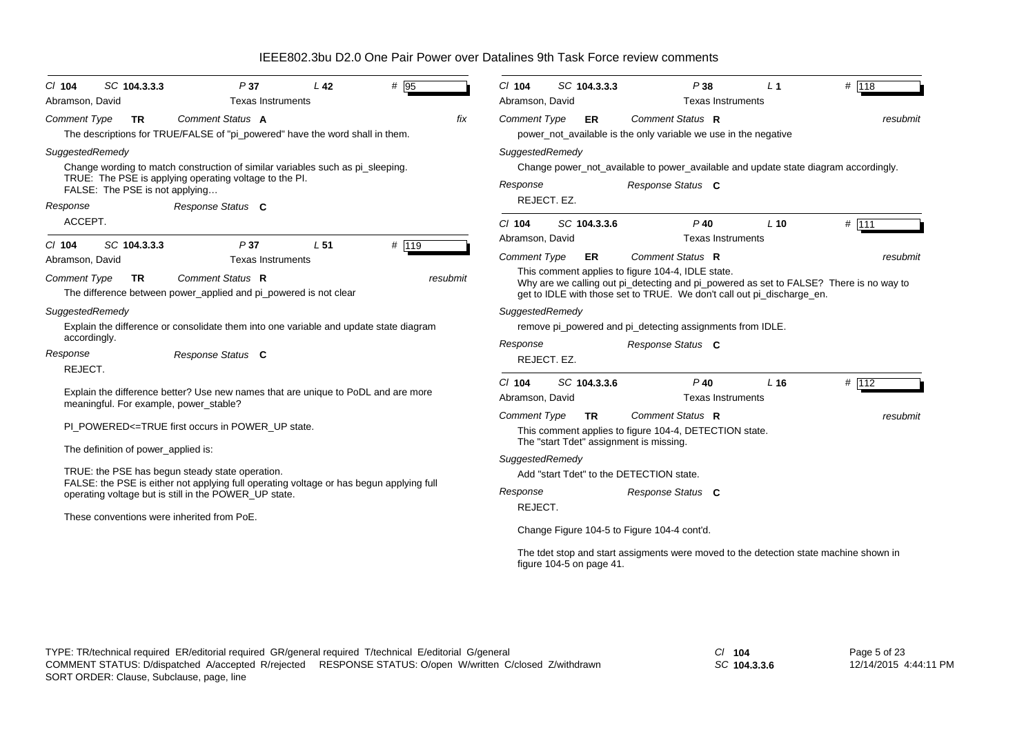| # 95<br>SC 104.3.3.3<br>P <sub>37</sub><br>L <sub>42</sub><br>$Cl$ 104<br>Abramson, David<br><b>Texas Instruments</b>                                                                                                          | # 118<br>$Cl$ 104<br>SC 104.3.3.3<br>P38<br>$L_1$<br>Abramson, David<br><b>Texas Instruments</b>                                                                                                                                                                                   |  |  |  |  |  |  |
|--------------------------------------------------------------------------------------------------------------------------------------------------------------------------------------------------------------------------------|------------------------------------------------------------------------------------------------------------------------------------------------------------------------------------------------------------------------------------------------------------------------------------|--|--|--|--|--|--|
| <b>Comment Status A</b><br>fix<br><b>Comment Type</b><br><b>TR</b><br>The descriptions for TRUE/FALSE of "pi_powered" have the word shall in them.                                                                             | Comment Status R<br><b>Comment Type</b><br><b>ER</b><br>resubmit<br>power_not_available is the only variable we use in the negative                                                                                                                                                |  |  |  |  |  |  |
| SuggestedRemedy<br>Change wording to match construction of similar variables such as pi_sleeping.<br>TRUE: The PSE is applying operating voltage to the PI.<br>FALSE: The PSE is not applying<br>Response<br>Response Status C | SuggestedRemedy<br>Change power_not_available to power_available and update state diagram accordingly.<br>Response<br>Response Status C<br>REJECT. EZ.                                                                                                                             |  |  |  |  |  |  |
| ACCEPT.<br># 119<br>SC 104.3.3.3<br>P <sub>37</sub><br>L <sub>51</sub><br>$CI$ 104                                                                                                                                             | $Cl$ 104<br>SC 104.3.3.6<br>$P$ 40<br># 111<br>$L$ 10<br>Abramson, David<br><b>Texas Instruments</b>                                                                                                                                                                               |  |  |  |  |  |  |
| <b>Texas Instruments</b><br>Abramson, David<br>Comment Status R<br><b>Comment Type</b><br><b>TR</b><br>resubmit<br>The difference between power_applied and pi_powered is not clear                                            | Comment Status R<br><b>Comment Type</b><br>ER<br>resubmit<br>This comment applies to figure 104-4, IDLE state.<br>Why are we calling out pi_detecting and pi_powered as set to FALSE? There is no way to<br>get to IDLE with those set to TRUE. We don't call out pi_discharge_en. |  |  |  |  |  |  |
| SuggestedRemedy<br>Explain the difference or consolidate them into one variable and update state diagram<br>accordingly.<br>Response Status C<br>Response<br>REJECT.                                                           | SuggestedRemedy<br>remove pi_powered and pi_detecting assignments from IDLE.<br>Response<br>Response Status C<br>REJECT. EZ.                                                                                                                                                       |  |  |  |  |  |  |
| Explain the difference better? Use new names that are unique to PoDL and are more<br>meaningful. For example, power_stable?                                                                                                    | SC 104.3.3.6<br>$P$ 40<br># 112<br>$Cl$ 104<br>L <sub>16</sub><br>Abramson, David<br><b>Texas Instruments</b>                                                                                                                                                                      |  |  |  |  |  |  |
| PI_POWERED<=TRUE first occurs in POWER_UP state.<br>The definition of power_applied is:                                                                                                                                        | <b>Comment Type</b><br>Comment Status R<br><b>TR</b><br>resubmit<br>This comment applies to figure 104-4, DETECTION state.<br>The "start Tdet" assignment is missing.                                                                                                              |  |  |  |  |  |  |
| TRUE: the PSE has begun steady state operation.<br>FALSE: the PSE is either not applying full operating voltage or has begun applying full<br>operating voltage but is still in the POWER_UP state.                            | SuggestedRemedy<br>Add "start Tdet" to the DETECTION state.<br>Response Status C<br>Response<br>REJECT.                                                                                                                                                                            |  |  |  |  |  |  |
| These conventions were inherited from PoE.                                                                                                                                                                                     | Change Figure 104-5 to Figure 104-4 cont'd.<br>The tdet stop and start assigments were moved to the detection state machine shown in<br>figure 104-5 on page 41.                                                                                                                   |  |  |  |  |  |  |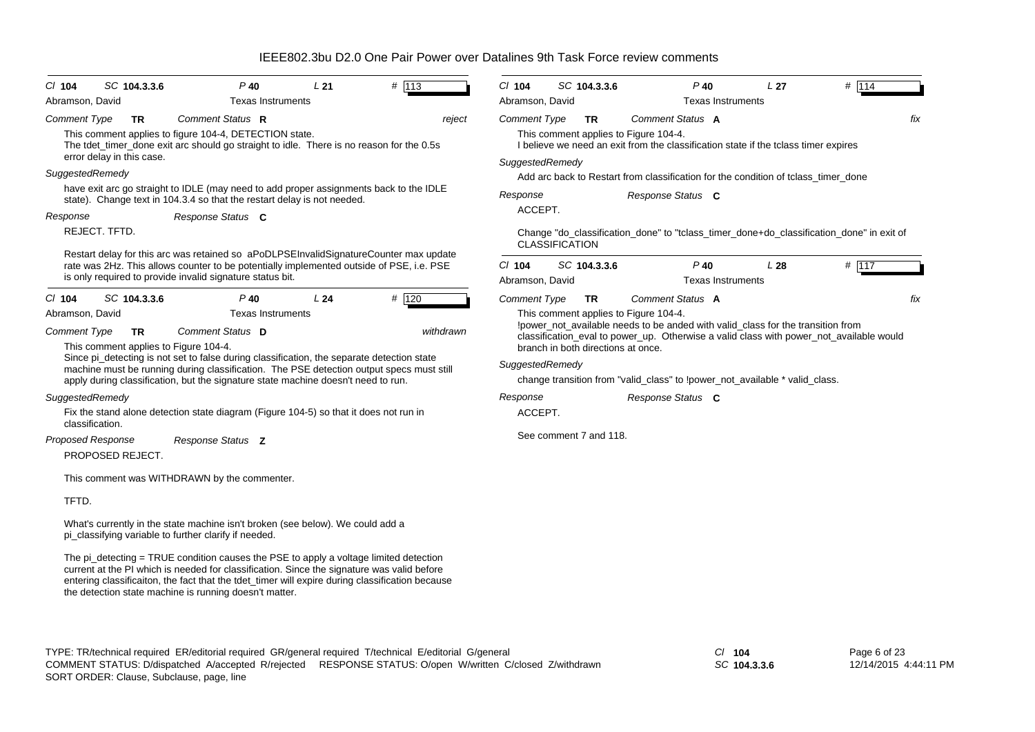| SC 104.3.3.6<br>$Cl$ 104                                            | $P$ 40                                                                                                                                                                                                                                                                                                                                           | L21 | # 113     | $Cl$ 104            | SC 104.3.3.6                       |  | $P$ 40                                                                                                                       | L <sub>27</sub> | # 114 |     |
|---------------------------------------------------------------------|--------------------------------------------------------------------------------------------------------------------------------------------------------------------------------------------------------------------------------------------------------------------------------------------------------------------------------------------------|-----|-----------|---------------------|------------------------------------|--|------------------------------------------------------------------------------------------------------------------------------|-----------------|-------|-----|
| Abramson, David                                                     | <b>Texas Instruments</b>                                                                                                                                                                                                                                                                                                                         |     |           | Abramson, David     |                                    |  | <b>Texas Instruments</b>                                                                                                     |                 |       |     |
| <b>Comment Type</b><br><b>TR</b>                                    | Comment Status R                                                                                                                                                                                                                                                                                                                                 |     | reject    | <b>Comment Type</b> | <b>TR</b>                          |  | Comment Status A                                                                                                             |                 |       | fix |
| error delay in this case.                                           | This comment applies to figure 104-4, DETECTION state.<br>The tdet_timer_done exit arc should go straight to idle. There is no reason for the 0.5s                                                                                                                                                                                               |     |           |                     |                                    |  | This comment applies to Figure 104-4.<br>I believe we need an exit from the classification state if the tclass timer expires |                 |       |     |
| SuggestedRemedy                                                     |                                                                                                                                                                                                                                                                                                                                                  |     |           | SuggestedRemedy     |                                    |  |                                                                                                                              |                 |       |     |
|                                                                     | have exit arc go straight to IDLE (may need to add proper assignments back to the IDLE                                                                                                                                                                                                                                                           |     |           |                     |                                    |  | Add arc back to Restart from classification for the condition of tclass timer done                                           |                 |       |     |
|                                                                     | state). Change text in 104.3.4 so that the restart delay is not needed.                                                                                                                                                                                                                                                                          |     |           | Response            |                                    |  | Response Status C                                                                                                            |                 |       |     |
| Response                                                            | Response Status C                                                                                                                                                                                                                                                                                                                                |     |           | ACCEPT.             |                                    |  |                                                                                                                              |                 |       |     |
| REJECT. TFTD.                                                       |                                                                                                                                                                                                                                                                                                                                                  |     |           |                     | <b>CLASSIFICATION</b>              |  | Change "do_classification_done" to "tclass_timer_done+do_classification_done" in exit of                                     |                 |       |     |
|                                                                     | Restart delay for this arc was retained so aPoDLPSEInvalidSignatureCounter max update                                                                                                                                                                                                                                                            |     |           | $Cl$ 104            | SC 104.3.3.6                       |  | $P$ 40                                                                                                                       | L28             | # 117 |     |
|                                                                     | rate was 2Hz. This allows counter to be potentially implemented outside of PSE, i.e. PSE<br>is only required to provide invalid signature status bit.                                                                                                                                                                                            |     |           | Abramson, David     |                                    |  | <b>Texas Instruments</b>                                                                                                     |                 |       |     |
|                                                                     |                                                                                                                                                                                                                                                                                                                                                  |     |           |                     |                                    |  |                                                                                                                              |                 |       |     |
| $CI$ 104<br>SC 104.3.3.6<br>Abramson, David                         | P 40<br><b>Texas Instruments</b>                                                                                                                                                                                                                                                                                                                 | L24 | # 120     | <b>Comment Type</b> | <b>TR</b>                          |  | Comment Status A                                                                                                             |                 |       | fix |
|                                                                     |                                                                                                                                                                                                                                                                                                                                                  |     |           |                     |                                    |  | This comment applies to Figure 104-4.<br>!power_not_available needs to be anded with valid_class for the transition from     |                 |       |     |
| <b>Comment Type</b><br>TR.<br>This comment applies to Figure 104-4. | Comment Status D                                                                                                                                                                                                                                                                                                                                 |     | withdrawn |                     | branch in both directions at once. |  | classification_eval to power_up. Otherwise a valid class with power_not_available would                                      |                 |       |     |
|                                                                     | Since pi_detecting is not set to false during classification, the separate detection state                                                                                                                                                                                                                                                       |     |           | SuggestedRemedy     |                                    |  |                                                                                                                              |                 |       |     |
|                                                                     | machine must be running during classification. The PSE detection output specs must still<br>apply during classification, but the signature state machine doesn't need to run.                                                                                                                                                                    |     |           |                     |                                    |  | change transition from "valid_class" to !power_not_available * valid_class.                                                  |                 |       |     |
| SuggestedRemedy                                                     |                                                                                                                                                                                                                                                                                                                                                  |     |           | Response            |                                    |  | Response Status C                                                                                                            |                 |       |     |
|                                                                     | Fix the stand alone detection state diagram (Figure 104-5) so that it does not run in                                                                                                                                                                                                                                                            |     |           | ACCEPT.             |                                    |  |                                                                                                                              |                 |       |     |
| classification.                                                     |                                                                                                                                                                                                                                                                                                                                                  |     |           |                     |                                    |  |                                                                                                                              |                 |       |     |
| <b>Proposed Response</b>                                            | Response Status Z                                                                                                                                                                                                                                                                                                                                |     |           |                     | See comment 7 and 118.             |  |                                                                                                                              |                 |       |     |
| PROPOSED REJECT.                                                    |                                                                                                                                                                                                                                                                                                                                                  |     |           |                     |                                    |  |                                                                                                                              |                 |       |     |
|                                                                     | This comment was WITHDRAWN by the commenter.                                                                                                                                                                                                                                                                                                     |     |           |                     |                                    |  |                                                                                                                              |                 |       |     |
| TFTD.                                                               |                                                                                                                                                                                                                                                                                                                                                  |     |           |                     |                                    |  |                                                                                                                              |                 |       |     |
|                                                                     | What's currently in the state machine isn't broken (see below). We could add a<br>pi_classifying variable to further clarify if needed.                                                                                                                                                                                                          |     |           |                     |                                    |  |                                                                                                                              |                 |       |     |
|                                                                     | The pi_detecting = TRUE condition causes the PSE to apply a voltage limited detection<br>current at the PI which is needed for classification. Since the signature was valid before<br>entering classificaiton, the fact that the tdet_timer will expire during classification because<br>the detection state machine is running doesn't matter. |     |           |                     |                                    |  |                                                                                                                              |                 |       |     |

*SC* **104.3.3.6**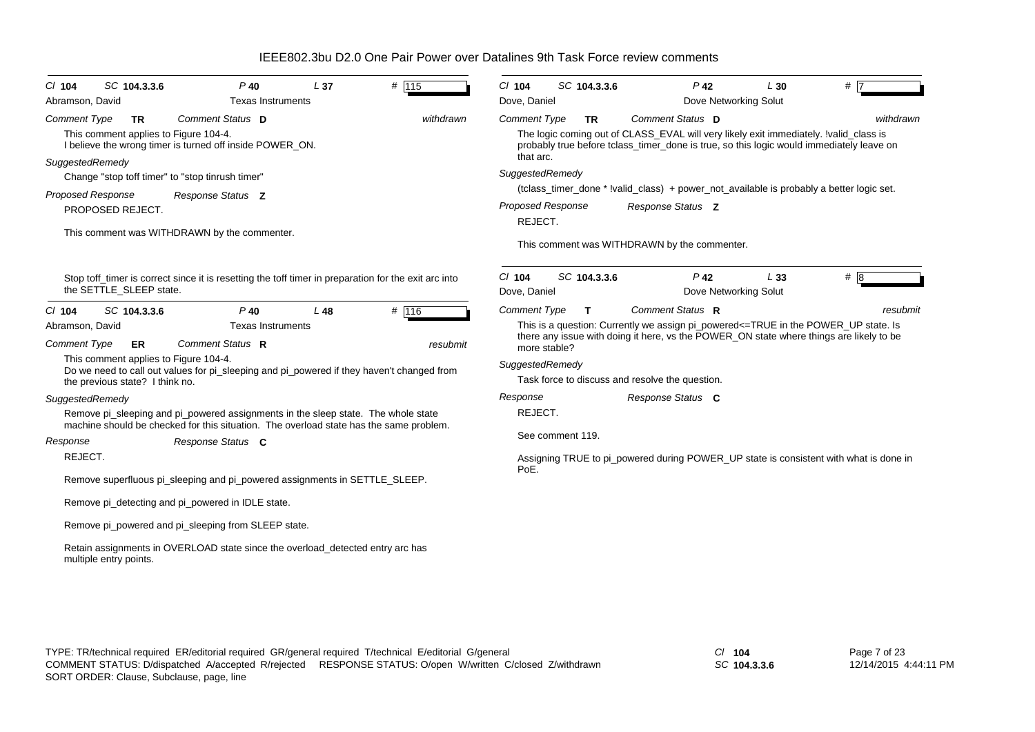| SC 104.3.3.6<br>$CI$ 104                                                                                                                                    | $P$ 40                                                                                                                                                                      | L <sub>37</sub> | # 115             | $Cl$ 104                                               | SC 104.3.3.6     | $P$ 42                                                                                                                                                                                                                                               | L30                          | $#$ $\overline{7}$ |
|-------------------------------------------------------------------------------------------------------------------------------------------------------------|-----------------------------------------------------------------------------------------------------------------------------------------------------------------------------|-----------------|-------------------|--------------------------------------------------------|------------------|------------------------------------------------------------------------------------------------------------------------------------------------------------------------------------------------------------------------------------------------------|------------------------------|--------------------|
| Abramson, David                                                                                                                                             | <b>Texas Instruments</b>                                                                                                                                                    |                 |                   | Dove, Daniel                                           |                  |                                                                                                                                                                                                                                                      | Dove Networking Solut        |                    |
| <b>Comment Type</b><br><b>TR</b><br>This comment applies to Figure 104-4.                                                                                   | Comment Status D<br>I believe the wrong timer is turned off inside POWER ON.                                                                                                |                 | withdrawn         | <b>Comment Type</b><br>that arc.                       | <b>TR</b>        | Comment Status D<br>The logic coming out of CLASS_EVAL will very likely exit immediately. !valid_class is<br>probably true before tclass_timer_done is true, so this logic would immediately leave on                                                |                              | withdrawn          |
| SuggestedRemedy<br>Change "stop toff timer" to "stop tinrush timer"                                                                                         |                                                                                                                                                                             |                 |                   | SuggestedRemedy                                        |                  |                                                                                                                                                                                                                                                      |                              |                    |
| Proposed Response                                                                                                                                           | Response Status Z                                                                                                                                                           |                 |                   |                                                        |                  | (tclass_timer_done * !valid_class) + power_not_available is probably a better logic set.                                                                                                                                                             |                              |                    |
| PROPOSED REJECT.                                                                                                                                            |                                                                                                                                                                             |                 |                   | Proposed Response<br>REJECT.                           |                  | Response Status Z                                                                                                                                                                                                                                    |                              |                    |
|                                                                                                                                                             | This comment was WITHDRAWN by the commenter.                                                                                                                                |                 |                   |                                                        |                  | This comment was WITHDRAWN by the commenter.                                                                                                                                                                                                         |                              |                    |
| the SETTLE SLEEP state.                                                                                                                                     | Stop toff timer is correct since it is resetting the toff timer in preparation for the exit arc into                                                                        |                 |                   | $Cl$ 104<br>Dove, Daniel                               | SC 104.3.3.6     | $P$ 42                                                                                                                                                                                                                                               | L33<br>Dove Networking Solut | #8                 |
| SC 104.3.3.6<br>$CI$ 104<br>Abramson, David<br><b>Comment Type</b><br><b>ER</b><br>This comment applies to Figure 104-4.<br>the previous state? I think no. | $P$ 40<br><b>Texas Instruments</b><br>Comment Status R<br>Do we need to call out values for pi sleeping and pi powered if they haven't changed from                         | $L$ 48          | # 116<br>resubmit | <b>Comment Type</b><br>more stable?<br>SuggestedRemedy | T.               | Comment Status R<br>This is a question: Currently we assign pi_powered<=TRUE in the POWER_UP state. Is<br>there any issue with doing it here, vs the POWER_ON state where things are likely to be<br>Task force to discuss and resolve the question. |                              | resubmit           |
| SuggestedRemedy                                                                                                                                             |                                                                                                                                                                             |                 |                   | Response                                               |                  | Response Status C                                                                                                                                                                                                                                    |                              |                    |
|                                                                                                                                                             | Remove pi_sleeping and pi_powered assignments in the sleep state. The whole state<br>machine should be checked for this situation. The overload state has the same problem. |                 |                   | REJECT.                                                |                  |                                                                                                                                                                                                                                                      |                              |                    |
| Response                                                                                                                                                    | Response Status C                                                                                                                                                           |                 |                   |                                                        | See comment 119. |                                                                                                                                                                                                                                                      |                              |                    |
| REJECT.                                                                                                                                                     |                                                                                                                                                                             |                 |                   | PoE.                                                   |                  | Assigning TRUE to pi_powered during POWER_UP state is consistent with what is done in                                                                                                                                                                |                              |                    |
|                                                                                                                                                             | Remove superfluous pi_sleeping and pi_powered assignments in SETTLE_SLEEP.                                                                                                  |                 |                   |                                                        |                  |                                                                                                                                                                                                                                                      |                              |                    |
|                                                                                                                                                             | Remove pi_detecting and pi_powered in IDLE state.                                                                                                                           |                 |                   |                                                        |                  |                                                                                                                                                                                                                                                      |                              |                    |
|                                                                                                                                                             | Remove pi_powered and pi_sleeping from SLEEP state.                                                                                                                         |                 |                   |                                                        |                  |                                                                                                                                                                                                                                                      |                              |                    |
| multiple entry points.                                                                                                                                      | Retain assignments in OVERLOAD state since the overload_detected entry arc has                                                                                              |                 |                   |                                                        |                  |                                                                                                                                                                                                                                                      |                              |                    |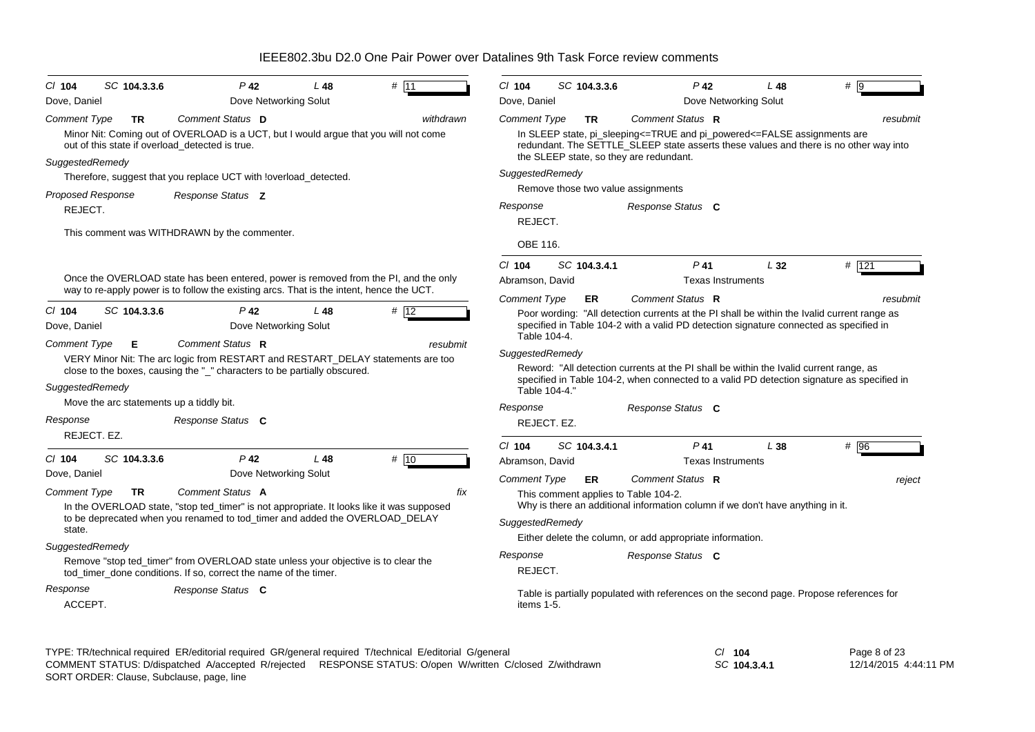| $CI$ 104                               | SC 104.3.3.6                             | P 42                                                                                                                                                                            | L 48            | # $11$    | $Cl$ 104                                                | SC 104.3.3.6 |  |                                                             | $P$ 42                   | L 48                                                                                   | #   9                                                                                                                                                                                 |
|----------------------------------------|------------------------------------------|---------------------------------------------------------------------------------------------------------------------------------------------------------------------------------|-----------------|-----------|---------------------------------------------------------|--------------|--|-------------------------------------------------------------|--------------------------|----------------------------------------------------------------------------------------|---------------------------------------------------------------------------------------------------------------------------------------------------------------------------------------|
| Dove, Daniel                           |                                          | Dove Networking Solut                                                                                                                                                           |                 |           | Dove, Daniel                                            |              |  |                                                             |                          | Dove Networking Solut                                                                  |                                                                                                                                                                                       |
| <b>Comment Type</b>                    | TR.                                      | Comment Status D<br>Minor Nit: Coming out of OVERLOAD is a UCT, but I would argue that you will not come<br>out of this state if overload detected is true.                     |                 | withdrawn | <b>Comment Type</b>                                     | <b>TR</b>    |  | Comment Status R<br>the SLEEP state, so they are redundant. |                          | In SLEEP state, pi_sleeping<=TRUE and pi_powered<=FALSE assignments are                | resubmit<br>redundant. The SETTLE_SLEEP state asserts these values and there is no other way into                                                                                     |
| SuggestedRemedy                        |                                          |                                                                                                                                                                                 |                 |           | SuggestedRemedy                                         |              |  |                                                             |                          |                                                                                        |                                                                                                                                                                                       |
|                                        |                                          | Therefore, suggest that you replace UCT with !overload_detected.                                                                                                                |                 |           |                                                         |              |  |                                                             |                          |                                                                                        |                                                                                                                                                                                       |
| <b>Proposed Response</b>               |                                          | Response Status <b>Z</b>                                                                                                                                                        |                 |           | Remove those two value assignments<br>Response Status C |              |  |                                                             |                          |                                                                                        |                                                                                                                                                                                       |
| REJECT.                                |                                          |                                                                                                                                                                                 |                 |           | Response<br>REJECT.                                     |              |  |                                                             |                          |                                                                                        |                                                                                                                                                                                       |
|                                        |                                          | This comment was WITHDRAWN by the commenter.                                                                                                                                    |                 |           | OBE 116.                                                |              |  |                                                             |                          |                                                                                        |                                                                                                                                                                                       |
|                                        |                                          |                                                                                                                                                                                 |                 |           | $CI$ 104                                                | SC 104.3.4.1 |  |                                                             | P 41                     | $L_{32}$                                                                               | $#$ 121                                                                                                                                                                               |
|                                        |                                          | Once the OVERLOAD state has been entered, power is removed from the PI, and the only                                                                                            |                 |           | Abramson, David                                         |              |  |                                                             | <b>Texas Instruments</b> |                                                                                        |                                                                                                                                                                                       |
|                                        |                                          | way to re-apply power is to follow the existing arcs. That is the intent, hence the UCT.                                                                                        |                 |           | <b>Comment Type</b>                                     | ER.          |  | Comment Status R                                            |                          |                                                                                        | resubmit                                                                                                                                                                              |
| $Cl$ 104<br>Dove, Daniel               | SC 104.3.3.6                             | $P$ 42<br>Dove Networking Solut                                                                                                                                                 | L48             | # 12      | Table 104-4.                                            |              |  |                                                             |                          |                                                                                        | Poor wording: "All detection currents at the PI shall be within the Ivalid current range as<br>specified in Table 104-2 with a valid PD detection signature connected as specified in |
| <b>Comment Type</b><br>SuggestedRemedy | Е                                        | Comment Status R<br>VERY Minor Nit: The arc logic from RESTART and RESTART_DELAY statements are too<br>close to the boxes, causing the "_" characters to be partially obscured. |                 | resubmit  | SuggestedRemedy<br>Table 104-4."                        |              |  |                                                             |                          | Reword: "All detection currents at the PI shall be within the Ivalid current range, as | specified in Table 104-2, when connected to a valid PD detection signature as specified in                                                                                            |
|                                        | Move the arc statements up a tiddly bit. |                                                                                                                                                                                 |                 |           | Response                                                |              |  |                                                             |                          |                                                                                        |                                                                                                                                                                                       |
| Response                               |                                          | Response Status C                                                                                                                                                               |                 |           | REJECT. EZ.                                             |              |  | Response Status C                                           |                          |                                                                                        |                                                                                                                                                                                       |
| REJECT. EZ.                            |                                          |                                                                                                                                                                                 |                 |           |                                                         |              |  |                                                             |                          |                                                                                        |                                                                                                                                                                                       |
|                                        |                                          |                                                                                                                                                                                 |                 |           | $CI$ 104                                                | SC 104.3.4.1 |  |                                                             | $P$ 41                   | L38                                                                                    | # 96                                                                                                                                                                                  |
| $CI$ 104                               | SC 104.3.3.6                             | $P$ 42                                                                                                                                                                          | L <sub>48</sub> | # 10      | Abramson, David                                         |              |  |                                                             | <b>Texas Instruments</b> |                                                                                        |                                                                                                                                                                                       |
| Dove, Daniel                           |                                          | Dove Networking Solut                                                                                                                                                           |                 |           | <b>Comment Type</b>                                     | <b>ER</b>    |  | Comment Status R                                            |                          |                                                                                        | reject                                                                                                                                                                                |
| <b>Comment Type</b>                    | TR                                       | Comment Status A                                                                                                                                                                |                 | fix       |                                                         |              |  | This comment applies to Table 104-2.                        |                          |                                                                                        |                                                                                                                                                                                       |
|                                        |                                          | In the OVERLOAD state, "stop ted_timer" is not appropriate. It looks like it was supposed<br>to be deprecated when you renamed to tod_timer and added the OVERLOAD_DELAY        |                 |           |                                                         |              |  |                                                             |                          | Why is there an additional information column if we don't have anything in it.         |                                                                                                                                                                                       |
| state.                                 |                                          |                                                                                                                                                                                 |                 |           | SuggestedRemedy                                         |              |  |                                                             |                          |                                                                                        |                                                                                                                                                                                       |
| SuggestedRemedy                        |                                          |                                                                                                                                                                                 |                 |           |                                                         |              |  | Either delete the column, or add appropriate information.   |                          |                                                                                        |                                                                                                                                                                                       |
|                                        |                                          | Remove "stop ted_timer" from OVERLOAD state unless your objective is to clear the<br>tod timer done conditions. If so, correct the name of the timer.                           |                 |           | Response<br>Response Status C<br>REJECT.                |              |  |                                                             |                          |                                                                                        |                                                                                                                                                                                       |
| Response<br>ACCEPT.                    |                                          | Response Status C                                                                                                                                                               |                 |           | items 1-5.                                              |              |  |                                                             |                          |                                                                                        | Table is partially populated with references on the second page. Propose references for                                                                                               |
|                                        |                                          |                                                                                                                                                                                 |                 |           |                                                         |              |  |                                                             |                          |                                                                                        |                                                                                                                                                                                       |

| TYPE: TR/technical required ER/editorial required GR/general required T/technical E/editorial G/general   | $CI$ 104     |
|-----------------------------------------------------------------------------------------------------------|--------------|
| COMMENT STATUS: D/dispatched A/accepted R/rejected RESPONSE STATUS: O/open W/written C/closed Z/withdrawn | SC 104.3.4.1 |
| SORT ORDER: Clause, Subclause, page, line                                                                 |              |

Page 8 of 23 12/14/2015 4:44:11 PM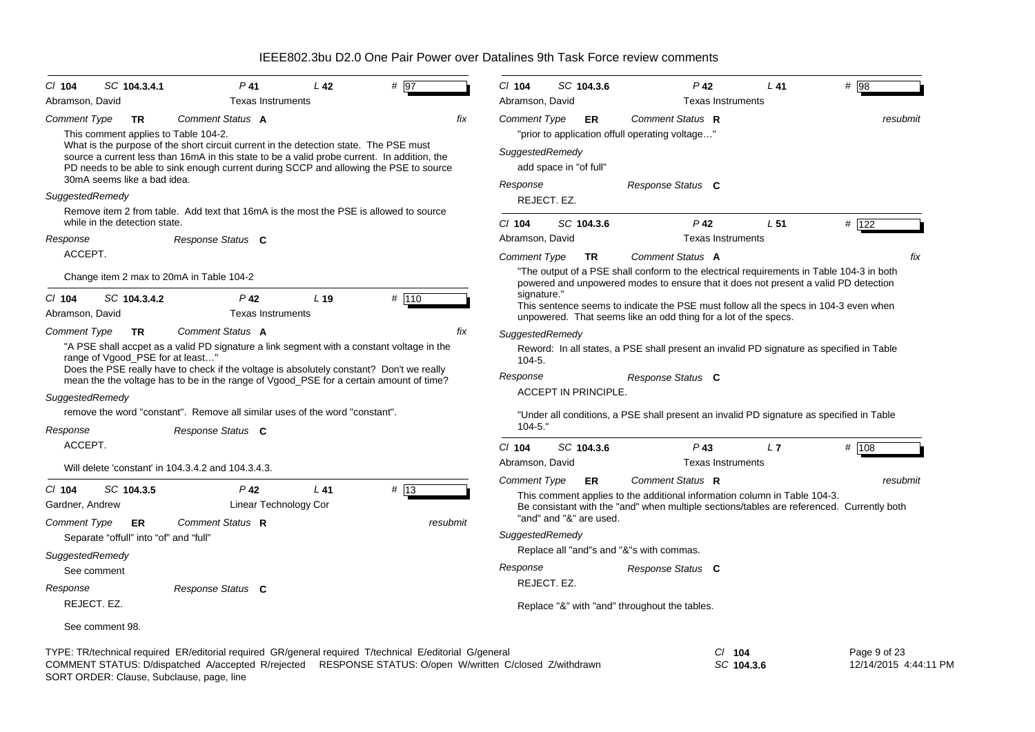| $CI$ 104<br>Abramson, David                                                         | SC 104.3.4.1                                                                                                                                                                                                                                                                                                                                                                                                                       | $P$ 41<br><b>Texas Instruments</b> | L 42            | # 197            | CI 104<br>Abramson, David                               | SC 104.3.6                  |           | $P$ 42<br><b>Texas Instruments</b>                                                                                                                                                                                                     | $L$ 41          | #<br>98  |
|-------------------------------------------------------------------------------------|------------------------------------------------------------------------------------------------------------------------------------------------------------------------------------------------------------------------------------------------------------------------------------------------------------------------------------------------------------------------------------------------------------------------------------|------------------------------------|-----------------|------------------|---------------------------------------------------------|-----------------------------|-----------|----------------------------------------------------------------------------------------------------------------------------------------------------------------------------------------------------------------------------------------|-----------------|----------|
| <b>Comment Type</b><br>30mA seems like a bad idea.                                  | Comment Status A<br><b>TR</b><br>This comment applies to Table 104-2.<br>What is the purpose of the short circuit current in the detection state. The PSE must<br>source a current less than 16mA in this state to be a valid probe current. In addition, the<br>PD needs to be able to sink enough current during SCCP and allowing the PSE to source                                                                             |                                    |                 | fix              | <b>Comment Type</b><br>SuggestedRemedy                  | add space in "of full"      | <b>ER</b> | Comment Status R<br>"prior to application offull operating voltage"                                                                                                                                                                    |                 | resubmit |
| SuggestedRemedy<br>while in the detection state.                                    | Remove item 2 from table. Add text that 16mA is the most the PSE is allowed to source                                                                                                                                                                                                                                                                                                                                              |                                    |                 |                  | Response<br>CI 104                                      | REJECT. EZ.<br>SC 104.3.6   |           | Response Status C<br>$P$ 42                                                                                                                                                                                                            | L <sub>51</sub> | # 122    |
| Response<br>ACCEPT.                                                                 | Response Status C                                                                                                                                                                                                                                                                                                                                                                                                                  |                                    |                 |                  | Abramson, David<br>Comment Type                         |                             | <b>TR</b> | <b>Texas Instruments</b><br>Comment Status A                                                                                                                                                                                           |                 | fix      |
| $CI$ 104                                                                            | Change item 2 max to 20mA in Table 104-2<br>SC 104.3.4.2                                                                                                                                                                                                                                                                                                                                                                           | $P$ 42                             | L <sub>19</sub> | # 110            | signature."                                             |                             |           | "The output of a PSE shall conform to the electrical requirements in Table 104-3 in both<br>powered and unpowered modes to ensure that it does not present a valid PD detection                                                        |                 |          |
| Abramson, David                                                                     |                                                                                                                                                                                                                                                                                                                                                                                                                                    | <b>Texas Instruments</b>           |                 |                  |                                                         |                             |           | This sentence seems to indicate the PSE must follow all the specs in 104-3 even when<br>unpowered. That seems like an odd thing for a lot of the specs.                                                                                |                 |          |
| <b>Comment Type</b><br>SuggestedRemedy                                              | Comment Status A<br><b>TR</b><br>"A PSE shall accpet as a valid PD signature a link segment with a constant voltage in the<br>range of Vgood_PSE for at least<br>Does the PSE really have to check if the voltage is absolutely constant? Don't we really<br>mean the the voltage has to be in the range of Vgood_PSE for a certain amount of time?<br>remove the word "constant". Remove all similar uses of the word "constant". |                                    |                 | fix              | SuggestedRemedy<br>$104 - 5.$<br>Response<br>$104 - 5.$ | <b>ACCEPT IN PRINCIPLE.</b> |           | Reword: In all states, a PSE shall present an invalid PD signature as specified in Table<br>Response Status C<br>"Under all conditions, a PSE shall present an invalid PD signature as specified in Table                              |                 |          |
| Response<br>ACCEPT.                                                                 | Response Status C                                                                                                                                                                                                                                                                                                                                                                                                                  |                                    |                 |                  | $Cl$ 104                                                | SC 104.3.6                  |           | $P$ 43                                                                                                                                                                                                                                 | L7              | # 108    |
|                                                                                     | Will delete 'constant' in 104.3.4.2 and 104.3.4.3.                                                                                                                                                                                                                                                                                                                                                                                 |                                    |                 |                  | Abramson, David                                         |                             |           | <b>Texas Instruments</b>                                                                                                                                                                                                               |                 |          |
| SC 104.3.5<br>$CI$ 104<br>Gardner, Andrew<br><b>Comment Type</b><br>SuggestedRemedy | Comment Status R<br>ER.<br>Separate "offull" into "of" and "full"                                                                                                                                                                                                                                                                                                                                                                  | $P$ 42<br>Linear Technology Cor    | $L$ 41          | # 13<br>resubmit | Comment Type<br>SuggestedRemedy                         | "and" and "&" are used.     | <b>ER</b> | Comment Status R<br>This comment applies to the additional information column in Table 104-3.<br>Be consistant with the "and" when multiple sections/tables are referenced. Currently both<br>Replace all "and"s and "&"s with commas. |                 | resubmit |
| See comment<br>Response<br>REJECT. EZ.                                              | Response Status C                                                                                                                                                                                                                                                                                                                                                                                                                  |                                    |                 |                  | Response                                                | REJECT. EZ.                 |           | Response Status C<br>Replace "&" with "and" throughout the tables.                                                                                                                                                                     |                 |          |
| See comment 98.                                                                     |                                                                                                                                                                                                                                                                                                                                                                                                                                    |                                    |                 |                  |                                                         |                             |           |                                                                                                                                                                                                                                        |                 |          |

TYPE: TR/technical required ER/editorial required GR/general required T/technical E/editorial G/general *Cl* **104** *SC* **104.3.6** Page 9 of 23 12/14/2015 4:44:11 PM SORT ORDER: Clause, Subclause, page, line COMMENT STATUS: D/dispatched A/accepted R/rejected RESPONSE STATUS: O/open W/written C/closed Z/withdrawn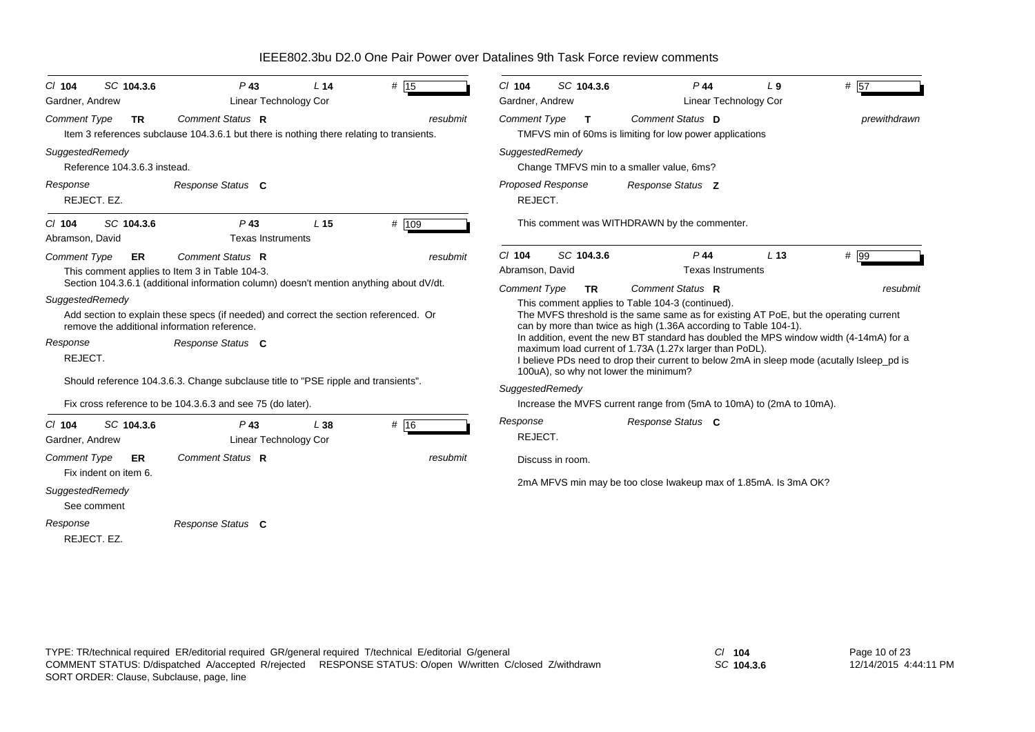*Cl* **104** *SC* **104.3.6** *P* **43** *L* **14** $L$  14  $\#$  15 *Comment Type* **TR** Item 3 references subclause 104.3.6.1 but there is nothing there relating to transients. *SuggestedRemedy* Reference 104.3.6.3 instead.REJECT. EZ.*Comment Status***R***Response Status* **C***resubmit*Gardner, Andrew Linear Technology Cor *Response Cl* **104** *SC* **104.3.6** *P* **43** *L* **15** $L$  15  $\#$  109 *Comment Type* **ER** This comment applies to Item 3 in Table 104-3. Section 104.3.6.1 (additional information column) doesn't mention anything about dV/dt. *SuggestedRemedy* Add section to explain these specs (if needed) and correct the section referenced. Or remove the additional information reference. REJECT. Should reference 104.3.6.3. Change subclause title to "PSE ripple and transients". Fix cross reference to be 104.3.6.3 and see 75 (do later). *Comment Status***R***Response Status* **C***resubmit* Abramson, David Texas Instruments *Response Cl* **104** *SC* **104.3.6** *P* **43** *L* **38** $\frac{1}{4}$  16 *Comment Type* **ER** Fix indent on item 6. *SuggestedRemedy* See commentREJECT. EZ.*Comment Status* **R***Response Status* **C***resubmit* Gardner, Andrew Linear Technology Cor *Response Cl* **104** *SC* **104.3.6** *P* **44** *L* **9** *#* 57*Comment Type* **T**TMFVS min of 60ms is limiting for low power applications *SuggestedRemedy* Change TMFVS min to a smaller value, 6ms? REJECT. This comment was WITHDRAWN by the commenter. *Comment Status***D***Response Status* **Z** *prewithdrawn* Gardner, Andrew **Linear Technology Cor** *Proposed Response Cl* **104** *SC* **104.3.6** *P* **44** *L* **13** $L$  13  $\#$  99 *Comment Type* **TR** This comment applies to Table 104-3 (continued). The MVFS threshold is the same same as for existing AT PoE, but the operating current can by more than twice as high (1.36A according to Table 104-1). In addition, event the new BT standard has doubled the MPS window width (4-14mA) for a maximum load current of 1.73A (1.27x larger than PoDL). I believe PDs need to drop their current to below 2mA in sleep mode (acutally Isleep\_pd is 100uA), so why not lower the minimum? *SuggestedRemedy* Increase the MVFS current range from (5mA to 10mA) to (2mA to 10mA). REJECT. Discuss in room.2mA MFVS min may be too close Iwakeup max of 1.85mA. Is 3mA OK? *Comment Status***R***Response Status* **C***resubmit*Abramson, David **Texas Instruments** *Response*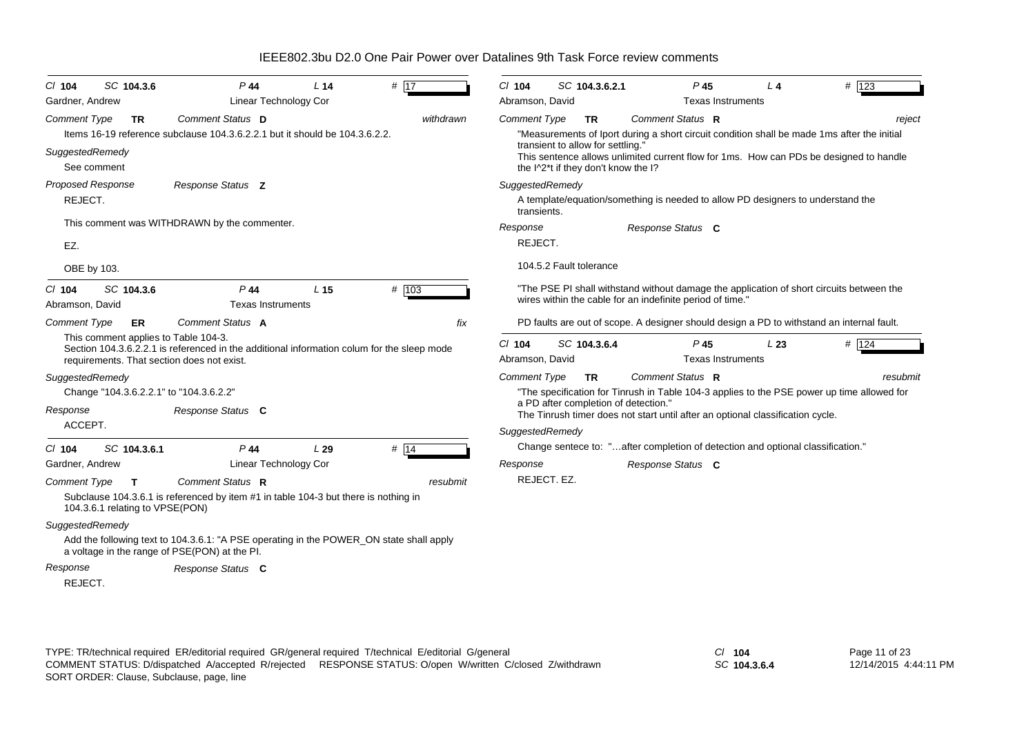*Cl* **104** *SC* **104.3.6** *P* **44** *L* **14** $L$  14  $\#$  17 *Comment Type* **TR** Items 16-19 reference subclause 104.3.6.2.2.1 but it should be 104.3.6.2.2.*SuggestedRemedy* See commentREJECT. This comment was WITHDRAWN by the commenter. EZ. OBE by 103. **Comment Status D** *Response Status* **Z** *withdrawn*Gardner, Andrew **Linear Technology Cor** *Proposed Response Cl* **104** *SC* **104.3.6** *P* **44** *L* **15** *#* 103 *Comment Type* **ER** This comment applies to Table 104-3. Section 104.3.6.2.2.1 is referenced in the additional information colum for the sleep mode requirements. That section does not exist. *SuggestedRemedy* Change "104.3.6.2.2.1" to "104.3.6.2.2" ACCEPT. *Comment Status***A***Response Status* **C***fix*Abramson, David **Texas Instruments** *Response Cl* **104** *SC* **104.3.6.1** *P* **44** *L* **29** $\frac{1}{4}$  14 *Comment Type* **T** Subclause 104.3.6.1 is referenced by item #1 in table 104-3 but there is nothing in 104.3.6.1 relating to VPSE(PON) *SuggestedRemedy* Add the following text to 104.3.6.1: "A PSE operating in the POWER\_ON state shall apply a voltage in the range of PSE(PON) at the PI. REJECT. *Comment Status* **R***Response Status* **C***resubmit* Gardner, Andrew **Linear Technology Cor** *Response Cl* **104** *SC* **104.3.6.2.1** *P* **45** *L* **4** $\mu$  **4**  $\mu$  123 *Comment Type* **TR** "Measurements of Iport during a short circuit condition shall be made 1ms after the initial transient to allow for settling." This sentence allows unlimited current flow for 1ms. How can PDs be designed to handle the I^2<sup>\*</sup>t if they don't know the I? *SuggestedRemedy* A template/equation/something is needed to allow PD designers to understand the transients.REJECT. 104.5.2 Fault tolerance"The PSE PI shall withstand without damage the application of short circuits between the wires within the cable for an indefinite period of time." PD faults are out of scope. A designer should design a PD to withstand an internal fault. *Comment Status***R***Response Status* **C***reject* Abramson, David **Texas Instruments** *Response Cl* **104** *SC* **104.3.6.4** *P* **45** *L* **23** *#* 124*Comment Type* **TR** "The specification for Tinrush in Table 104-3 applies to the PSE power up time allowed for a PD after completion of detection." The Tinrush timer does not start until after an optional classification cycle. *SuggestedRemedy* Change sentece to: "…after completion of detection and optional classification." REJECT. EZ.*Comment Status***R***Response Status* **C***resubmit*Abramson, David **Texas** Instruments *Response*

IEEE802.3bu D2.0 One Pair Power over Datalines 9th Task Force review comments

TYPE: TR/technical required ER/editorial required GR/general required T/technical E/editorial G/general *Cl* **104** SORT ORDER: Clause, Subclause, page, line COMMENT STATUS: D/dispatched A/accepted R/rejected RESPONSE STATUS: O/open W/written C/closed Z/withdrawn

*SC* **104.3.6.4**

Page 11 of 23 12/14/2015 4:44:11 PM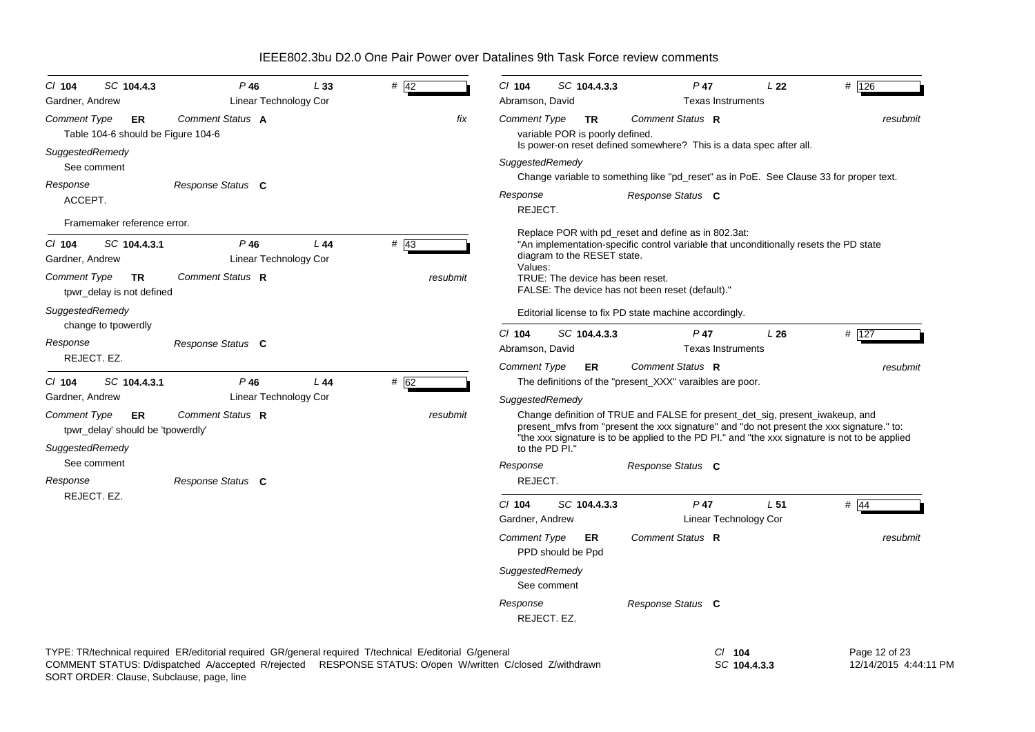| SC 104.4.3<br>$Cl$ 104<br>Gardner, Andrew                                         | $P$ 46<br>Linear Technology Cor        | L33 | $#$ 42                                                                                                                                                                                                               | $Cl$ 104<br>Abramson, David       | SC 104.4.3.3                                 | $P$ 47<br><b>Texas Instruments</b>                                                                                                                                                                                                                                           | L22                      | # $126$                                |
|-----------------------------------------------------------------------------------|----------------------------------------|-----|----------------------------------------------------------------------------------------------------------------------------------------------------------------------------------------------------------------------|-----------------------------------|----------------------------------------------|------------------------------------------------------------------------------------------------------------------------------------------------------------------------------------------------------------------------------------------------------------------------------|--------------------------|----------------------------------------|
| <b>Comment Type</b><br>ER<br>Table 104-6 should be Figure 104-6                   | Comment Status A                       |     | fix                                                                                                                                                                                                                  | <b>Comment Type</b>               | <b>TR</b><br>variable POR is poorly defined. | Comment Status R<br>Is power-on reset defined somewhere? This is a data spec after all.                                                                                                                                                                                      |                          | resubmit                               |
| SuggestedRemedy<br>See comment                                                    |                                        |     |                                                                                                                                                                                                                      | SuggestedRemedy                   |                                              | Change variable to something like "pd_reset" as in PoE. See Clause 33 for proper text.                                                                                                                                                                                       |                          |                                        |
| Response<br>ACCEPT.                                                               | Response Status C                      |     |                                                                                                                                                                                                                      | Response<br>REJECT.               |                                              | Response Status C                                                                                                                                                                                                                                                            |                          |                                        |
| Framemaker reference error.                                                       |                                        |     |                                                                                                                                                                                                                      |                                   |                                              |                                                                                                                                                                                                                                                                              |                          |                                        |
| SC 104.4.3.1<br>$CI$ 104<br>Gardner, Andrew                                       | $P$ 46<br>Linear Technology Cor        | L44 | # 43                                                                                                                                                                                                                 | Values:                           | diagram to the RESET state.                  | Replace POR with pd_reset and define as in 802.3at:<br>"An implementation-specific control variable that unconditionally resets the PD state                                                                                                                                 |                          |                                        |
| <b>Comment Type</b><br>TR<br>tpwr_delay is not defined                            | Comment Status R                       |     | resubmit                                                                                                                                                                                                             |                                   | TRUE: The device has been reset.             | FALSE: The device has not been reset (default)."                                                                                                                                                                                                                             |                          |                                        |
| SuggestedRemedy<br>change to tpowerdly                                            |                                        |     |                                                                                                                                                                                                                      |                                   |                                              | Editorial license to fix PD state machine accordingly.                                                                                                                                                                                                                       |                          |                                        |
| Response<br>REJECT. EZ.                                                           | Response Status C                      |     |                                                                                                                                                                                                                      | $Cl$ 104<br>Abramson, David       | SC 104.4.3.3                                 | $P$ 47<br><b>Texas Instruments</b>                                                                                                                                                                                                                                           | L26                      | # 127                                  |
|                                                                                   |                                        |     |                                                                                                                                                                                                                      | <b>Comment Type</b>               | ER                                           | Comment Status R                                                                                                                                                                                                                                                             |                          | resubmit                               |
| $Cl$ 104<br>SC 104.4.3.1<br>Gardner, Andrew                                       | $P$ 46<br><b>Linear Technology Cor</b> | L44 | # 62                                                                                                                                                                                                                 |                                   |                                              | The definitions of the "present_XXX" varaibles are poor.                                                                                                                                                                                                                     |                          |                                        |
| <b>Comment Type</b><br>ER<br>tpwr_delay' should be 'tpowerdly'<br>SuggestedRemedy | Comment Status R                       |     | resubmit                                                                                                                                                                                                             | SuggestedRemedy<br>to the PD PI." |                                              | Change definition of TRUE and FALSE for present_det_sig, present_iwakeup, and<br>present_mfvs from "present the xxx signature" and "do not present the xxx signature." to:<br>"the xxx signature is to be applied to the PD PI." and "the xxx signature is not to be applied |                          |                                        |
| See comment<br>Response                                                           | Response Status C                      |     |                                                                                                                                                                                                                      | Response<br>REJECT.               |                                              | Response Status C                                                                                                                                                                                                                                                            |                          |                                        |
| REJECT. EZ.                                                                       |                                        |     |                                                                                                                                                                                                                      | $Cl$ 104                          | SC 104.4.3.3                                 | $P$ 47                                                                                                                                                                                                                                                                       | L <sub>51</sub>          | $#$ 44                                 |
|                                                                                   |                                        |     |                                                                                                                                                                                                                      | Gardner, Andrew                   |                                              |                                                                                                                                                                                                                                                                              | Linear Technology Cor    |                                        |
|                                                                                   |                                        |     |                                                                                                                                                                                                                      | <b>Comment Type</b>               | ER<br>PPD should be Ppd                      | Comment Status R                                                                                                                                                                                                                                                             |                          | resubmit                               |
|                                                                                   |                                        |     |                                                                                                                                                                                                                      | SuggestedRemedy<br>See comment    |                                              |                                                                                                                                                                                                                                                                              |                          |                                        |
|                                                                                   |                                        |     |                                                                                                                                                                                                                      | Response<br>REJECT. EZ.           |                                              | Response Status C                                                                                                                                                                                                                                                            |                          |                                        |
|                                                                                   |                                        |     | TYPE: TR/technical required ER/editorial required GR/general required T/technical E/editorial G/general<br>COMMENT STATUS: D/dispatched A/accepted R/rejected RESPONSE STATUS: O/open W/written C/closed Z/withdrawn |                                   |                                              |                                                                                                                                                                                                                                                                              | $CI$ 104<br>SC 104.4.3.3 | Page 12 of 23<br>12/14/2015 4:44:11 PM |

SORT ORDER: Clause, Subclause, page, line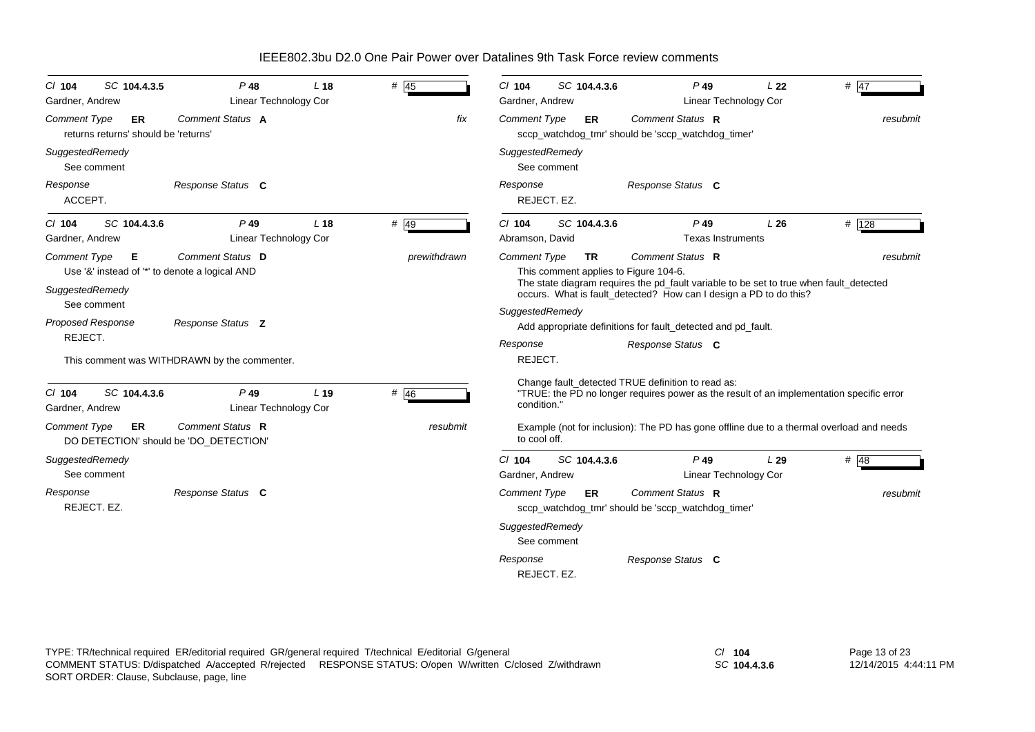| SC 104.4.3.5<br>$CI$ 104<br>Gardner, Andrew                       | $P$ 48<br><b>Linear Technology Cor</b>                             | L <sub>18</sub> | $#$ 45       | $Cl$ 104<br>SC 104.4.3.6<br>Gardner, Andrew                                                                                                                                                                                              | $P$ 49<br>Linear Technology Cor    | L <sub>22</sub> | # $47$   |
|-------------------------------------------------------------------|--------------------------------------------------------------------|-----------------|--------------|------------------------------------------------------------------------------------------------------------------------------------------------------------------------------------------------------------------------------------------|------------------------------------|-----------------|----------|
| <b>Comment Type</b><br>ER<br>returns returns' should be 'returns' | Comment Status A                                                   |                 | fix          | <b>Comment Type</b><br><b>ER</b><br>sccp_watchdog_tmr' should be 'sccp_watchdog_timer'                                                                                                                                                   | Comment Status R                   |                 | resubmit |
| SuggestedRemedy<br>See comment                                    |                                                                    |                 |              | SuggestedRemedy<br>See comment                                                                                                                                                                                                           |                                    |                 |          |
| Response<br>ACCEPT.                                               | Response Status C                                                  |                 |              | Response<br>REJECT. EZ.                                                                                                                                                                                                                  | Response Status C                  |                 |          |
| SC 104.4.3.6<br>$CI$ 104<br>Gardner, Andrew                       | $P$ 49<br><b>Linear Technology Cor</b>                             | L <sub>18</sub> | $#$ 49       | SC 104.4.3.6<br>$CI$ 104<br>Abramson, David                                                                                                                                                                                              | $P$ 49<br><b>Texas Instruments</b> | L26             | # 128    |
| <b>Comment Type</b><br>Е<br>SuggestedRemedy                       | Comment Status D<br>Use '&' instead of '*' to denote a logical AND |                 | prewithdrawn | <b>Comment Type</b><br><b>TR</b><br>This comment applies to Figure 104-6.<br>The state diagram requires the pd_fault variable to be set to true when fault_detected<br>occurs. What is fault_detected? How can I design a PD to do this? | Comment Status R                   |                 | resubmit |
| See comment<br><b>Proposed Response</b><br>REJECT.                | Response Status Z                                                  |                 |              | SuggestedRemedy<br>Add appropriate definitions for fault_detected and pd_fault.                                                                                                                                                          |                                    |                 |          |
|                                                                   | This comment was WITHDRAWN by the commenter.                       |                 |              | Response<br>REJECT.                                                                                                                                                                                                                      | Response Status C                  |                 |          |
| SC 104.4.3.6<br>$Cl$ 104<br>Gardner, Andrew                       | $P$ 49<br>Linear Technology Cor                                    | L <sub>19</sub> | # 46         | Change fault_detected TRUE definition to read as:<br>"TRUE: the PD no longer requires power as the result of an implementation specific error<br>condition."                                                                             |                                    |                 |          |
| <b>Comment Type</b><br>ER                                         | Comment Status R<br>DO DETECTION' should be 'DO DETECTION'         |                 | resubmit     | Example (not for inclusion): The PD has gone offline due to a thermal overload and needs<br>to cool off.                                                                                                                                 |                                    |                 |          |
| SuggestedRemedy<br>See comment                                    |                                                                    |                 |              | $Cl$ 104<br>SC 104.4.3.6<br>Gardner, Andrew                                                                                                                                                                                              | $P$ 49<br>Linear Technology Cor    | L29             | # $48$   |
| Response<br>REJECT. EZ.                                           | Response Status C                                                  |                 |              | <b>Comment Type</b><br>ER.<br>sccp_watchdog_tmr' should be 'sccp_watchdog_timer'<br>SuggestedRemedy<br>See comment                                                                                                                       | Comment Status R                   |                 | resubmit |
|                                                                   |                                                                    |                 |              | Response<br>REJECT, EZ.                                                                                                                                                                                                                  | Response Status C                  |                 |          |

*SC* **104.4.3.6**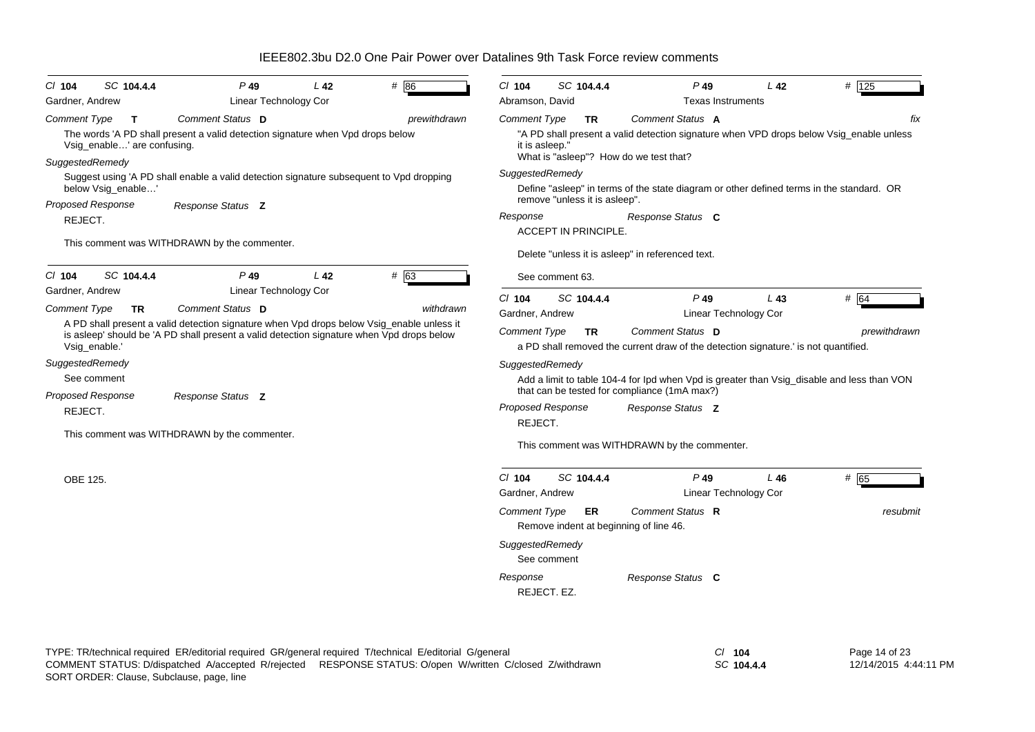|  |  | IEEE802.3bu D2.0 One Pair Power over Datalines 9th Task Force review comments |
|--|--|-------------------------------------------------------------------------------|
|--|--|-------------------------------------------------------------------------------|

|                                                  | $P$ 49                                                                                                                                                                                 | L <sub>42</sub> | # 86         | $Cl$ 104                       | SC 104.4.4                    | P 49                                                                                                                                                  | L <sub>42</sub> | # 125        |
|--------------------------------------------------|----------------------------------------------------------------------------------------------------------------------------------------------------------------------------------------|-----------------|--------------|--------------------------------|-------------------------------|-------------------------------------------------------------------------------------------------------------------------------------------------------|-----------------|--------------|
| Gardner, Andrew                                  | Linear Technology Cor                                                                                                                                                                  |                 |              | Abramson, David                |                               | <b>Texas Instruments</b>                                                                                                                              |                 |              |
| Comment Type<br>Т<br>Vsig_enable' are confusing. | Comment Status D<br>The words 'A PD shall present a valid detection signature when Vpd drops below                                                                                     |                 | prewithdrawn | Comment Type<br>it is asleep." | <b>TR</b>                     | Comment Status A<br>"A PD shall present a valid detection signature when VPD drops below Vsig_enable unless<br>What is "asleep"? How do we test that? |                 | fix          |
| SuggestedRemedy                                  | Suggest using 'A PD shall enable a valid detection signature subsequent to Vpd dropping                                                                                                |                 |              | SuggestedRemedy                |                               |                                                                                                                                                       |                 |              |
| below Vsig_enable'                               |                                                                                                                                                                                        |                 |              |                                |                               | Define "asleep" in terms of the state diagram or other defined terms in the standard. OR                                                              |                 |              |
| <b>Proposed Response</b>                         | Response Status <b>Z</b>                                                                                                                                                               |                 |              |                                | remove "unless it is asleep". |                                                                                                                                                       |                 |              |
| REJECT.                                          |                                                                                                                                                                                        |                 |              | Response                       |                               | Response Status C                                                                                                                                     |                 |              |
|                                                  | This comment was WITHDRAWN by the commenter.                                                                                                                                           |                 |              |                                | ACCEPT IN PRINCIPLE.          |                                                                                                                                                       |                 |              |
|                                                  |                                                                                                                                                                                        |                 |              |                                |                               | Delete "unless it is asleep" in referenced text.                                                                                                      |                 |              |
| SC 104.4.4<br>$Cl$ 104                           | $P$ 49                                                                                                                                                                                 | L42             | # 63         |                                | See comment 63.               |                                                                                                                                                       |                 |              |
| Gardner, Andrew                                  | Linear Technology Cor                                                                                                                                                                  |                 |              | $Cl$ 104                       | SC 104.4.4                    | $P$ 49                                                                                                                                                | L43             | # 64         |
| <b>Comment Type</b><br>TR                        | Comment Status D                                                                                                                                                                       |                 | withdrawn    | Gardner, Andrew                |                               | <b>Linear Technology Cor</b>                                                                                                                          |                 |              |
| Vsig_enable.'                                    | A PD shall present a valid detection signature when Vpd drops below Vsig_enable unless it<br>is asleep' should be 'A PD shall present a valid detection signature when Vpd drops below |                 |              | <b>Comment Type</b>            | <b>TR</b>                     | Comment Status D<br>a PD shall removed the current draw of the detection signature. is not quantified.                                                |                 | prewithdrawn |
| SuggestedRemedy                                  |                                                                                                                                                                                        |                 |              | SuggestedRemedy                |                               |                                                                                                                                                       |                 |              |
| See comment                                      |                                                                                                                                                                                        |                 |              |                                |                               | Add a limit to table 104-4 for Ipd when Vpd is greater than Vsig_disable and less than VON                                                            |                 |              |
| <b>Proposed Response</b>                         | Response Status <b>Z</b>                                                                                                                                                               |                 |              |                                |                               | that can be tested for compliance (1mA max?)                                                                                                          |                 |              |
| REJECT.                                          |                                                                                                                                                                                        |                 |              | Proposed Response              |                               | Response Status Z                                                                                                                                     |                 |              |
|                                                  |                                                                                                                                                                                        |                 |              | REJECT.                        |                               |                                                                                                                                                       |                 |              |
|                                                  | This comment was WITHDRAWN by the commenter.                                                                                                                                           |                 |              |                                |                               |                                                                                                                                                       |                 |              |
|                                                  |                                                                                                                                                                                        |                 |              |                                |                               | This comment was WITHDRAWN by the commenter.                                                                                                          |                 |              |
|                                                  |                                                                                                                                                                                        |                 |              | $Cl$ 104                       | SC 104.4.4                    | $P$ 49                                                                                                                                                | L46             |              |
| OBE 125.                                         |                                                                                                                                                                                        |                 |              | Gardner, Andrew                |                               | <b>Linear Technology Cor</b>                                                                                                                          |                 | # 65         |
|                                                  |                                                                                                                                                                                        |                 |              | <b>Comment Type</b>            | ER                            | Comment Status R<br>Remove indent at beginning of line 46.                                                                                            |                 | resubmit     |
|                                                  |                                                                                                                                                                                        |                 |              | SuggestedRemedy                |                               |                                                                                                                                                       |                 |              |
|                                                  |                                                                                                                                                                                        |                 |              | See comment                    |                               |                                                                                                                                                       |                 |              |

*SC* **104.4.4**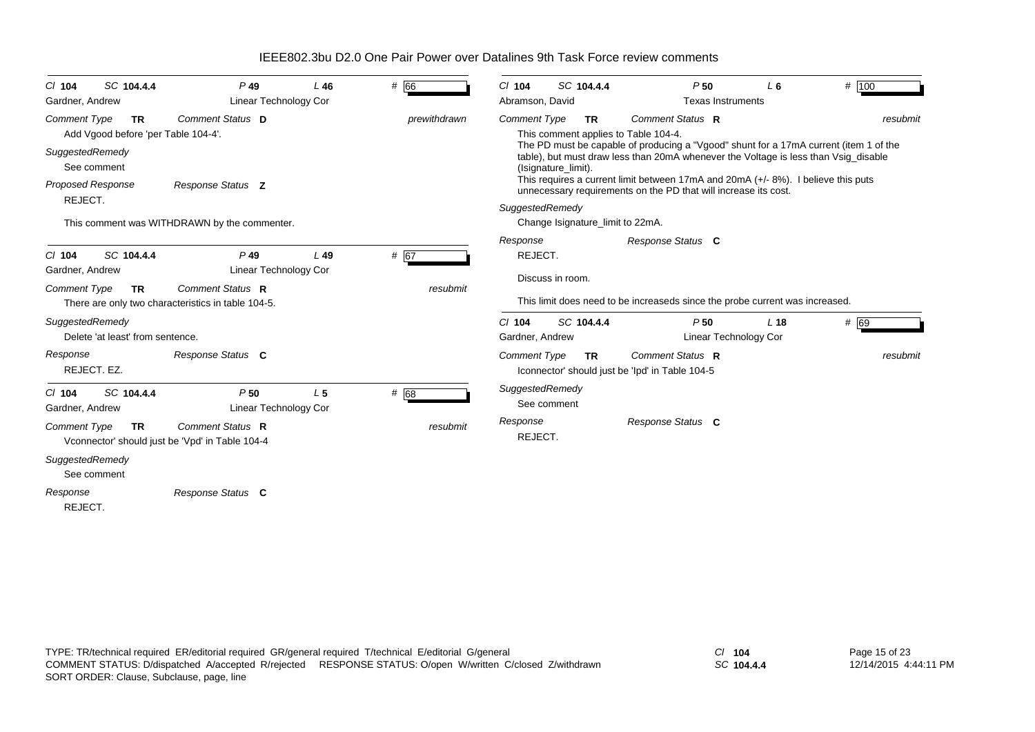| SC 104.4.4<br>$CI$ 104<br>Gardner, Andrew                                                                                                        | $P$ 49<br>Linear Technology Cor                                                                            | $L$ 46         | # 66             | SC 104.4.4<br>$CI$ 104<br>Abramson, David                                                             |           | P <sub>50</sub><br><b>Texas Instruments</b>                                                                                                                                                                                                                                                                                                                 | L <sub>6</sub>  | # 100            |
|--------------------------------------------------------------------------------------------------------------------------------------------------|------------------------------------------------------------------------------------------------------------|----------------|------------------|-------------------------------------------------------------------------------------------------------|-----------|-------------------------------------------------------------------------------------------------------------------------------------------------------------------------------------------------------------------------------------------------------------------------------------------------------------------------------------------------------------|-----------------|------------------|
| <b>Comment Type</b><br><b>TR</b><br>Add Vgood before 'per Table 104-4'.<br>SuggestedRemedy<br>See comment<br><b>Proposed Response</b><br>REJECT. | Comment Status D<br>Response Status Z                                                                      |                | prewithdrawn     | <b>Comment Type</b><br>This comment applies to Table 104-4.<br>(Isignature_limit).<br>SuggestedRemedy | <b>TR</b> | Comment Status R<br>The PD must be capable of producing a "Vgood" shunt for a 17mA current (item 1 of the<br>table), but must draw less than 20mA whenever the Voltage is less than Vsig_disable<br>This requires a current limit between 17mA and 20mA $(+/- 8%)$ . I believe this puts<br>unnecessary requirements on the PD that will increase its cost. |                 | resubmit         |
| SC 104.4.4<br>$CI$ 104<br>Gardner, Andrew<br><b>Comment Type</b><br><b>TR</b>                                                                    | This comment was WITHDRAWN by the commenter.<br>$P$ 49<br>Linear Technology Cor<br>Comment Status R        | L49            | # 67<br>resubmit | Change Isignature_limit to 22mA.<br>Response<br>REJECT.<br>Discuss in room.                           |           | Response Status C                                                                                                                                                                                                                                                                                                                                           |                 |                  |
| SuggestedRemedy<br>Delete 'at least' from sentence.<br>Response<br>REJECT. EZ.                                                                   | There are only two characteristics in table 104-5.<br>Response Status C                                    |                |                  | SC 104.4.4<br>$Cl$ 104<br>Gardner, Andrew<br><b>Comment Type</b>                                      | <b>TR</b> | This limit does need to be increaseds since the probe current was increased.<br>P50<br>Linear Technology Cor<br>Comment Status R<br>Iconnector' should just be 'Ipd' in Table 104-5                                                                                                                                                                         | L <sub>18</sub> | # 69<br>resubmit |
| SC 104.4.4<br>$CI$ 104<br>Gardner, Andrew<br><b>Comment Type</b><br><b>TR</b>                                                                    | P50<br><b>Linear Technology Cor</b><br>Comment Status R<br>Vconnector' should just be 'Vpd' in Table 104-4 | L <sub>5</sub> | # 68<br>resubmit | SuggestedRemedy<br>See comment<br>Response<br>REJECT.                                                 |           | Response Status C                                                                                                                                                                                                                                                                                                                                           |                 |                  |
| SuggestedRemedy<br>See comment<br>Response<br>REJECT.                                                                                            | Response Status C                                                                                          |                |                  |                                                                                                       |           |                                                                                                                                                                                                                                                                                                                                                             |                 |                  |

*SC* **104.4.4**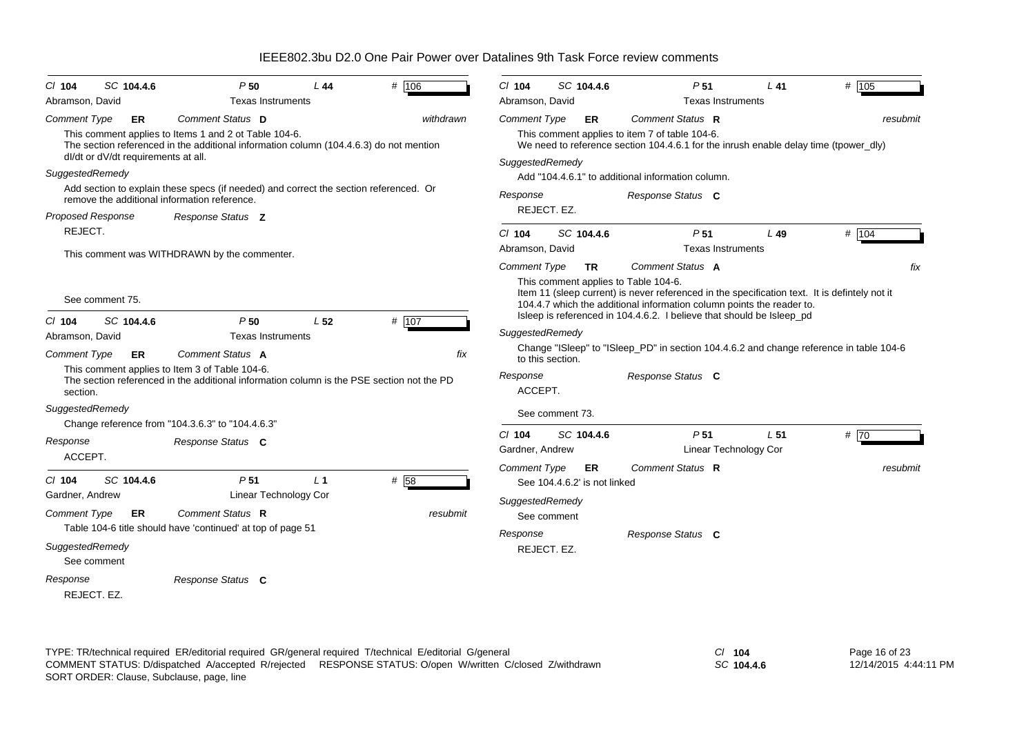| $CI$ 104                                           | SC 104.4.6                                | P50                                                                                                                                                                 | L 44            | # 106            | $CI$ 104                               | SC 104.4.6                                        | P <sub>51</sub>                                                                                                                                                                                                                                                      | L 41            | # 105    |
|----------------------------------------------------|-------------------------------------------|---------------------------------------------------------------------------------------------------------------------------------------------------------------------|-----------------|------------------|----------------------------------------|---------------------------------------------------|----------------------------------------------------------------------------------------------------------------------------------------------------------------------------------------------------------------------------------------------------------------------|-----------------|----------|
| Abramson, David                                    |                                           | <b>Texas Instruments</b>                                                                                                                                            |                 |                  | Abramson, David                        |                                                   | <b>Texas Instruments</b>                                                                                                                                                                                                                                             |                 |          |
| <b>Comment Type</b>                                | ER<br>dl/dt or dV/dt requirements at all. | Comment Status D<br>This comment applies to Items 1 and 2 ot Table 104-6.<br>The section referenced in the additional information column (104.4.6.3) do not mention |                 | withdrawn        | <b>Comment Type</b><br>SuggestedRemedy | ER                                                | Comment Status R<br>This comment applies to item 7 of table 104-6.<br>We need to reference section 104.4.6.1 for the inrush enable delay time (tpower_dly)                                                                                                           |                 | resubmit |
| SuggestedRemedy                                    |                                           | Add section to explain these specs (if needed) and correct the section referenced. Or<br>remove the additional information reference.                               |                 |                  | Response                               | REJECT. EZ.                                       | Add "104.4.6.1" to additional information column.<br>Response Status C                                                                                                                                                                                               |                 |          |
| <b>Proposed Response</b><br>REJECT.                |                                           | Response Status Z<br>This comment was WITHDRAWN by the commenter.                                                                                                   |                 |                  | $Cl$ 104<br>Abramson, David            | SC 104.4.6                                        | P <sub>51</sub><br><b>Texas Instruments</b>                                                                                                                                                                                                                          | L49             | # 104    |
|                                                    | See comment 75.                           |                                                                                                                                                                     |                 |                  | <b>Comment Type</b>                    | TR.<br>This comment applies to Table 104-6.       | Comment Status A<br>Item 11 (sleep current) is never referenced in the specification text. It is definitely not it<br>104.4.7 which the additional information column points the reader to.<br>Isleep is referenced in 104.4.6.2. I believe that should be Isleep_pd |                 | fix      |
| $CI$ 104<br>Abramson, David                        | SC 104.4.6                                | P50<br><b>Texas Instruments</b>                                                                                                                                     | L <sub>52</sub> | # 107            | SuggestedRemedy                        |                                                   |                                                                                                                                                                                                                                                                      |                 |          |
| <b>Comment Type</b><br>section.                    | ER                                        | Comment Status A<br>This comment applies to Item 3 of Table 104-6.<br>The section referenced in the additional information column is the PSE section not the PD     |                 | fix              | Response<br>ACCEPT.                    | to this section.                                  | Change "ISleep" to "ISleep_PD" in section 104.4.6.2 and change reference in table 104-6<br>Response Status C                                                                                                                                                         |                 |          |
| SuggestedRemedy                                    |                                           | Change reference from "104.3.6.3" to "104.4.6.3"                                                                                                                    |                 |                  |                                        | See comment 73.                                   |                                                                                                                                                                                                                                                                      |                 |          |
| Response<br>ACCEPT.                                |                                           | Response Status C                                                                                                                                                   |                 |                  | $Cl$ 104<br>Gardner, Andrew            | SC 104.4.6                                        | P <sub>51</sub><br>Linear Technology Cor                                                                                                                                                                                                                             | L <sub>51</sub> | #70      |
| $Cl$ 104<br>Gardner, Andrew<br><b>Comment Type</b> | SC 104.4.6<br>ER                          | P <sub>51</sub><br>Linear Technology Cor<br>Comment Status R                                                                                                        | L <sub>1</sub>  | # 58<br>resubmit | <b>Comment Type</b><br>SuggestedRemedy | ER<br>See 104.4.6.2' is not linked<br>See comment | Comment Status R                                                                                                                                                                                                                                                     |                 | resubmit |
| SuggestedRemedy                                    | See comment                               | Table 104-6 title should have 'continued' at top of page 51                                                                                                         |                 |                  | Response                               | REJECT. EZ.                                       | Response Status C                                                                                                                                                                                                                                                    |                 |          |
| Response<br>REJECT, EZ.                            |                                           | Response Status C                                                                                                                                                   |                 |                  |                                        |                                                   |                                                                                                                                                                                                                                                                      |                 |          |

TYPE: TR/technical required ER/editorial required GR/general required T/technical E/editorial G/general *Cl* **104** SORT ORDER: Clause, Subclause, page, line COMMENT STATUS: D/dispatched A/accepted R/rejected RESPONSE STATUS: O/open W/written C/closed Z/withdrawn

*SC* **104.4.6**

Page 16 of 23 12/14/2015 4:44:11 PM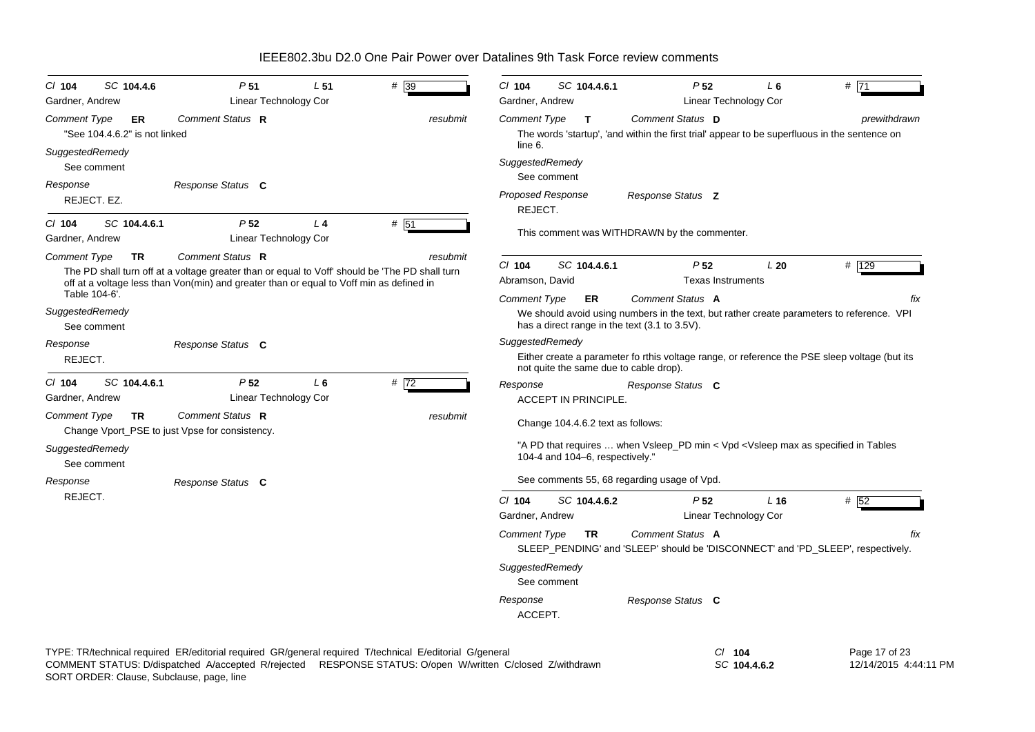| SC 104.4.6<br>C/ 104<br>Gardner, Andrew                    | P <sub>51</sub><br>Linear Technology Cor                                                                    | $# \sqrt{39}$<br>L <sub>51</sub>                                                                                                                                                                                     | CI 104<br>Gardner, Andrew           | SC 104.4.6.1                           | P <sub>52</sub>                                                                                                                                                | L 6<br>Linear Technology Cor | # 71                                                                                          |
|------------------------------------------------------------|-------------------------------------------------------------------------------------------------------------|----------------------------------------------------------------------------------------------------------------------------------------------------------------------------------------------------------------------|-------------------------------------|----------------------------------------|----------------------------------------------------------------------------------------------------------------------------------------------------------------|------------------------------|-----------------------------------------------------------------------------------------------|
| <b>Comment Type</b><br>ER<br>"See 104.4.6.2" is not linked | Comment Status R                                                                                            | resubmit                                                                                                                                                                                                             | <b>Comment Type</b><br>line 6.      | $\mathbf{T}$                           | Comment Status D<br>The words 'startup', 'and within the first trial' appear to be superfluous in the sentence on                                              |                              | prewithdrawn                                                                                  |
| SuggestedRemedy<br>See comment<br>Response                 | Response Status C                                                                                           |                                                                                                                                                                                                                      | SuggestedRemedy<br>See comment      |                                        |                                                                                                                                                                |                              |                                                                                               |
| REJECT. EZ.                                                |                                                                                                             |                                                                                                                                                                                                                      | <b>Proposed Response</b><br>REJECT. |                                        | Response Status <b>Z</b>                                                                                                                                       |                              |                                                                                               |
| SC 104.4.6.1<br>$CI$ 104<br>Gardner, Andrew                | P <sub>52</sub><br>Linear Technology Cor                                                                    | # 51<br>L <sub>4</sub>                                                                                                                                                                                               |                                     |                                        | This comment was WITHDRAWN by the commenter.                                                                                                                   |                              |                                                                                               |
| <b>Comment Type</b><br><b>TR</b><br>Table 104-6'.          | Comment Status R<br>off at a voltage less than Von(min) and greater than or equal to Voff min as defined in | resubmit<br>The PD shall turn off at a voltage greater than or equal to Voff' should be 'The PD shall turn                                                                                                           | $Cl$ 104<br>Abramson, David         | SC 104.4.6.1                           | P <sub>52</sub><br><b>Texas Instruments</b>                                                                                                                    | L20                          | # 129                                                                                         |
| SuggestedRemedy<br>See comment                             |                                                                                                             |                                                                                                                                                                                                                      | <b>Comment Type</b>                 | ER                                     | Comment Status A<br>We should avoid using numbers in the text, but rather create parameters to reference. VPI<br>has a direct range in the text (3.1 to 3.5V). |                              | fix                                                                                           |
| Response<br>REJECT.                                        | Response Status C                                                                                           |                                                                                                                                                                                                                      | SuggestedRemedy                     | not quite the same due to cable drop). |                                                                                                                                                                |                              | Either create a parameter fo rthis voltage range, or reference the PSE sleep voltage (but its |
| $CI$ 104<br>SC 104.4.6.1<br>Gardner, Andrew                | P <sub>52</sub><br>Linear Technology Cor                                                                    | $L_6$<br># $\overline{72}$                                                                                                                                                                                           | Response                            | <b>ACCEPT IN PRINCIPLE.</b>            | Response Status C                                                                                                                                              |                              |                                                                                               |
| <b>Comment Type</b><br><b>TR</b>                           | Comment Status R<br>Change Vport_PSE to just Vpse for consistency.                                          | resubmit                                                                                                                                                                                                             |                                     | Change 104.4.6.2 text as follows:      |                                                                                                                                                                |                              |                                                                                               |
| SuggestedRemedy<br>See comment                             |                                                                                                             |                                                                                                                                                                                                                      |                                     | 104-4 and 104-6, respectively."        | "A PD that requires  when Vsleep_PD min < Vpd < Vsleep max as specified in Tables                                                                              |                              |                                                                                               |
| Response                                                   | Response Status C                                                                                           |                                                                                                                                                                                                                      |                                     |                                        | See comments 55, 68 regarding usage of Vpd.                                                                                                                    |                              |                                                                                               |
| REJECT.                                                    |                                                                                                             |                                                                                                                                                                                                                      | $Cl$ 104<br>Gardner, Andrew         | SC 104.4.6.2                           | P <sub>52</sub>                                                                                                                                                | L16<br>Linear Technology Cor | # 52                                                                                          |
|                                                            |                                                                                                             |                                                                                                                                                                                                                      | Comment Type                        | <b>TR</b>                              | Comment Status A<br>SLEEP_PENDING' and 'SLEEP' should be 'DISCONNECT' and 'PD_SLEEP', respectively.                                                            |                              | fix                                                                                           |
|                                                            |                                                                                                             |                                                                                                                                                                                                                      | SuggestedRemedy<br>See comment      |                                        |                                                                                                                                                                |                              |                                                                                               |
|                                                            |                                                                                                             |                                                                                                                                                                                                                      | Response<br>ACCEPT.                 |                                        | Response Status C                                                                                                                                              |                              |                                                                                               |
|                                                            |                                                                                                             | TYPE: TR/technical required ER/editorial required GR/general required T/technical E/editorial G/general<br>COMMENT STATUS: D/dispatched A/accepted R/rejected RESPONSE STATUS: O/open W/written C/closed Z/withdrawn |                                     |                                        |                                                                                                                                                                | $CI$ 104<br>SC 104.4.6.2     | Page 17 of 23<br>12/14/2015 4:44:11 PM                                                        |

SORT ORDER: Clause, Subclause, page, line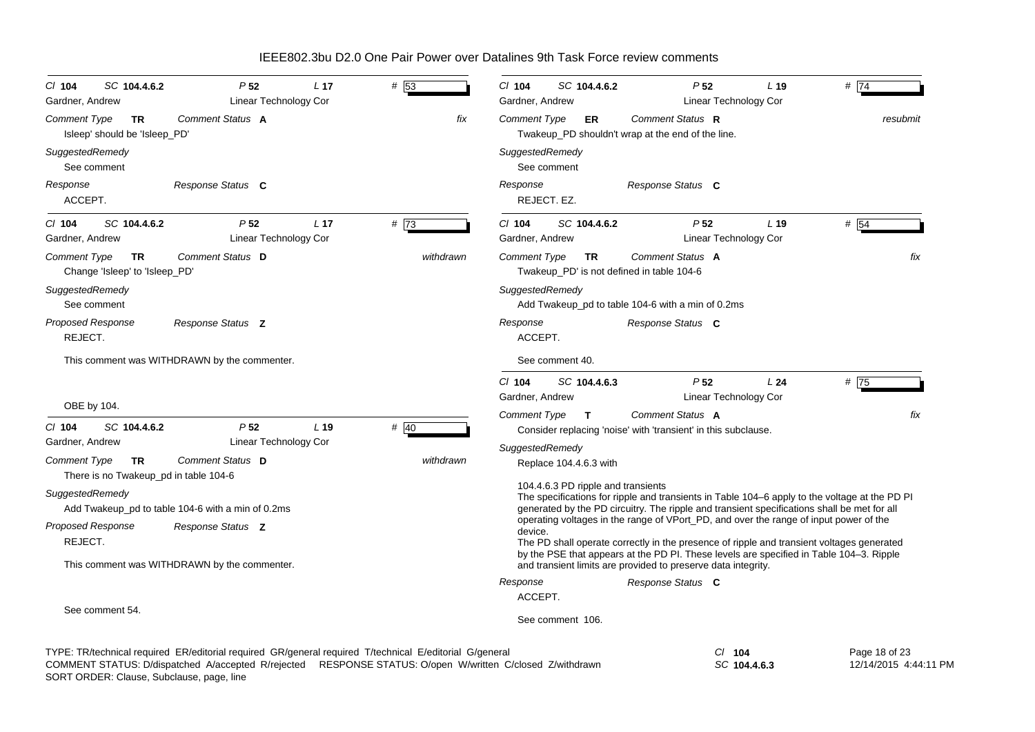| SC 104.4.6.2<br>$CI$ 104<br>Gardner, Andrew                        | P <sub>52</sub><br>Linear Technology Cor                                                                                                                                                                             | # 53<br>L <sub>17</sub> |           | C/ 104<br>SC 104.4.6.2<br>Gardner, Andrew                                                                                                                                                                                          | P <sub>52</sub><br>Linear Technology Cor                                                                                                                                           | L <sub>19</sub> | # 74                                   |  |  |  |
|--------------------------------------------------------------------|----------------------------------------------------------------------------------------------------------------------------------------------------------------------------------------------------------------------|-------------------------|-----------|------------------------------------------------------------------------------------------------------------------------------------------------------------------------------------------------------------------------------------|------------------------------------------------------------------------------------------------------------------------------------------------------------------------------------|-----------------|----------------------------------------|--|--|--|
| <b>Comment Type</b><br>TR<br>Isleep' should be 'Isleep_PD'         | Comment Status A                                                                                                                                                                                                     |                         | fix       | Comment Type<br>ER                                                                                                                                                                                                                 | Comment Status R<br>Twakeup_PD shouldn't wrap at the end of the line.                                                                                                              |                 | resubmit                               |  |  |  |
| SuggestedRemedy<br>See comment                                     |                                                                                                                                                                                                                      |                         |           | SuggestedRemedy<br>See comment                                                                                                                                                                                                     |                                                                                                                                                                                    |                 |                                        |  |  |  |
| Response<br>ACCEPT.                                                | Response Status C                                                                                                                                                                                                    |                         |           | Response<br>REJECT. EZ.                                                                                                                                                                                                            | Response Status C                                                                                                                                                                  |                 |                                        |  |  |  |
| SC 104.4.6.2<br>$CI$ 104<br>Gardner, Andrew                        | P <sub>52</sub><br>Linear Technology Cor                                                                                                                                                                             | # 73<br>L <sub>17</sub> |           | $Cl$ 104<br>SC 104.4.6.2<br>Gardner, Andrew                                                                                                                                                                                        | P <sub>52</sub><br>Linear Technology Cor                                                                                                                                           | L <sub>19</sub> | # 54                                   |  |  |  |
| <b>Comment Type</b><br><b>TR</b><br>Change 'Isleep' to 'Isleep_PD' | Comment Status D                                                                                                                                                                                                     |                         | withdrawn | <b>Comment Type</b><br><b>TR</b><br>Twakeup_PD' is not defined in table 104-6                                                                                                                                                      | Comment Status A                                                                                                                                                                   |                 | fix                                    |  |  |  |
| SuggestedRemedy<br>See comment                                     |                                                                                                                                                                                                                      |                         |           | SuggestedRemedy                                                                                                                                                                                                                    | Add Twakeup_pd to table 104-6 with a min of 0.2ms                                                                                                                                  |                 |                                        |  |  |  |
| <b>Proposed Response</b><br>REJECT.                                | Response Status Z                                                                                                                                                                                                    |                         |           | Response<br>ACCEPT.                                                                                                                                                                                                                | Response Status C                                                                                                                                                                  |                 |                                        |  |  |  |
|                                                                    | This comment was WITHDRAWN by the commenter.                                                                                                                                                                         |                         |           | See comment 40.                                                                                                                                                                                                                    |                                                                                                                                                                                    |                 |                                        |  |  |  |
| OBE by 104.                                                        |                                                                                                                                                                                                                      |                         |           | $Cl$ 104<br>SC 104.4.6.3<br>Gardner, Andrew                                                                                                                                                                                        | P <sub>52</sub><br>Linear Technology Cor                                                                                                                                           | L24             | # 75                                   |  |  |  |
| $Cl$ 104<br>SC 104.4.6.2                                           | P <sub>52</sub>                                                                                                                                                                                                      | # 40<br>$L$ 19          |           | Comment Type<br>$\mathbf{T}$                                                                                                                                                                                                       | Comment Status A<br>Consider replacing 'noise' with 'transient' in this subclause.                                                                                                 |                 | fix                                    |  |  |  |
| Gardner, Andrew                                                    | Linear Technology Cor                                                                                                                                                                                                |                         |           | SuggestedRemedy                                                                                                                                                                                                                    |                                                                                                                                                                                    |                 |                                        |  |  |  |
| <b>Comment Type</b><br>TR<br>There is no Twakeup_pd in table 104-6 | Comment Status D                                                                                                                                                                                                     |                         | withdrawn | Replace 104.4.6.3 with                                                                                                                                                                                                             |                                                                                                                                                                                    |                 |                                        |  |  |  |
| SuggestedRemedy                                                    | Add Twakeup pd to table 104-6 with a min of 0.2ms                                                                                                                                                                    |                         |           | 104.4.6.3 PD ripple and transients<br>The specifications for ripple and transients in Table 104-6 apply to the voltage at the PD PI<br>generated by the PD circuitry. The ripple and transient specifications shall be met for all |                                                                                                                                                                                    |                 |                                        |  |  |  |
| Proposed Response<br>REJECT.                                       | Response Status Z                                                                                                                                                                                                    |                         |           | device.                                                                                                                                                                                                                            | operating voltages in the range of VPort_PD, and over the range of input power of the<br>The PD shall operate correctly in the presence of ripple and transient voltages generated |                 |                                        |  |  |  |
|                                                                    | This comment was WITHDRAWN by the commenter.                                                                                                                                                                         |                         |           |                                                                                                                                                                                                                                    | by the PSE that appears at the PD PI. These levels are specified in Table 104-3. Ripple<br>and transient limits are provided to preserve data integrity.                           |                 |                                        |  |  |  |
|                                                                    |                                                                                                                                                                                                                      |                         |           | Response                                                                                                                                                                                                                           | Response Status C                                                                                                                                                                  |                 |                                        |  |  |  |
| See comment 54.                                                    |                                                                                                                                                                                                                      |                         |           | ACCEPT.<br>See comment 106.                                                                                                                                                                                                        |                                                                                                                                                                                    |                 |                                        |  |  |  |
|                                                                    | TYPE: TR/technical required ER/editorial required GR/general required T/technical E/editorial G/general<br>COMMENT STATUS: D/dispatched A/accepted R/rejected RESPONSE STATUS: O/open W/written C/closed Z/withdrawn |                         |           |                                                                                                                                                                                                                                    | $CI$ 104<br>SC 104.4.6.3                                                                                                                                                           |                 | Page 18 of 23<br>12/14/2015 4:44:11 PM |  |  |  |

SORT ORDER: Clause, Subclause, page, line COMMENT STATUS: D/dispatched A/accepted R/rejected RESPONSE STATUS: O/open W/written C/closed Z/withdrawn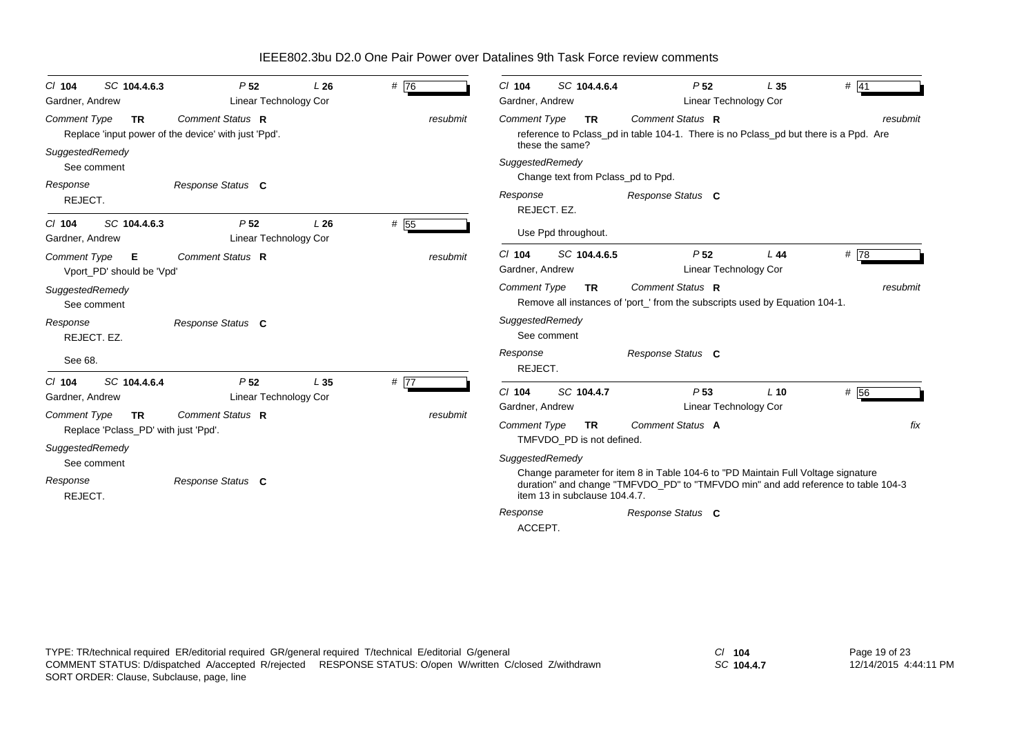| SC 104.4.6.3<br>$CI$ 104<br>Gardner, Andrew                              | P <sub>52</sub><br>Linear Technology Cor                                 | L26             | # 76     | $Cl$ 104<br>SC 104.4.6.4<br>Gardner, Andrew                                                                                                                                 | P <sub>52</sub><br>Linear Technology Cor                                                        | # 41<br>L <sub>35</sub>                                                           |  |  |  |  |  |
|--------------------------------------------------------------------------|--------------------------------------------------------------------------|-----------------|----------|-----------------------------------------------------------------------------------------------------------------------------------------------------------------------------|-------------------------------------------------------------------------------------------------|-----------------------------------------------------------------------------------|--|--|--|--|--|
| <b>Comment Type</b><br><b>TR</b>                                         | Comment Status R<br>Replace 'input power of the device' with just 'Ppd'. |                 | resubmit | Comment Status R<br><b>Comment Type</b><br>resubmit<br><b>TR</b><br>reference to Pclass_pd in table 104-1. There is no Pclass_pd but there is a Ppd. Are<br>these the same? |                                                                                                 |                                                                                   |  |  |  |  |  |
| SuggestedRemedy<br>See comment<br>Response                               | Response Status C                                                        |                 |          | SuggestedRemedy<br>Change text from Pclass_pd to Ppd.                                                                                                                       |                                                                                                 |                                                                                   |  |  |  |  |  |
| REJECT.                                                                  |                                                                          |                 |          | Response<br>REJECT. EZ.                                                                                                                                                     | Response Status C                                                                               |                                                                                   |  |  |  |  |  |
| SC 104.4.6.3<br>$CI$ 104<br>Gardner, Andrew                              | P <sub>52</sub><br><b>Linear Technology Cor</b>                          | L26             | # 55     | Use Ppd throughout.                                                                                                                                                         |                                                                                                 |                                                                                   |  |  |  |  |  |
| <b>Comment Type</b><br>Е<br>Vport PD' should be 'Vpd'                    | Comment Status R                                                         |                 | resubmit | $Cl$ 104<br>SC 104.4.6.5<br>Gardner, Andrew                                                                                                                                 | P <sub>52</sub><br>Linear Technology Cor                                                        | #78<br>L44                                                                        |  |  |  |  |  |
| SuggestedRemedy<br>See comment                                           |                                                                          |                 |          | <b>Comment Type</b><br><b>TR</b>                                                                                                                                            | Comment Status R<br>Remove all instances of 'port_' from the subscripts used by Equation 104-1. | resubmit                                                                          |  |  |  |  |  |
| Response<br>REJECT. EZ.                                                  | Response Status C                                                        |                 |          | SuggestedRemedy<br>See comment                                                                                                                                              |                                                                                                 |                                                                                   |  |  |  |  |  |
| See 68.                                                                  |                                                                          |                 |          | Response<br>REJECT.                                                                                                                                                         | Response Status C                                                                               |                                                                                   |  |  |  |  |  |
| SC 104.4.6.4<br>$CI$ 104<br>Gardner, Andrew                              | P <sub>52</sub><br>Linear Technology Cor                                 | L <sub>35</sub> | # 77     | SC 104.4.7<br>$CI$ 104<br>Gardner, Andrew                                                                                                                                   | P <sub>53</sub><br>Linear Technology Cor                                                        | # 56<br>$L$ 10                                                                    |  |  |  |  |  |
| <b>Comment Type</b><br><b>TR</b><br>Replace 'Pclass_PD' with just 'Ppd'. | Comment Status R                                                         |                 | resubmit | Comment Type<br><b>TR</b><br>TMFVDO PD is not defined.                                                                                                                      | Comment Status A                                                                                |                                                                                   |  |  |  |  |  |
| SuggestedRemedy                                                          |                                                                          |                 |          | SuggestedRemedy                                                                                                                                                             |                                                                                                 |                                                                                   |  |  |  |  |  |
| See comment<br>Response<br>REJECT.                                       | Response Status C                                                        |                 |          | item 13 in subclause 104.4.7.                                                                                                                                               | Change parameter for item 8 in Table 104-6 to "PD Maintain Full Voltage signature               | duration" and change "TMFVDO_PD" to "TMFVDO min" and add reference to table 104-3 |  |  |  |  |  |
|                                                                          |                                                                          |                 |          | Response<br>ACCEPT.                                                                                                                                                         | Response Status C                                                                               |                                                                                   |  |  |  |  |  |

*SC* **104.4.7**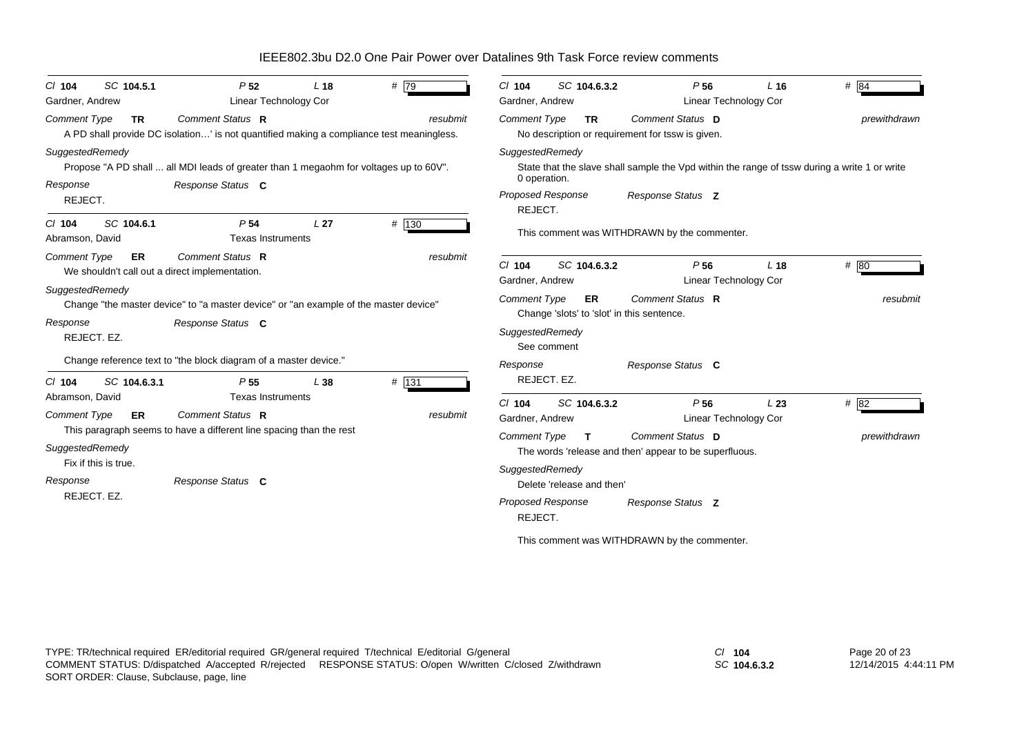| SC 104.5.1<br>$CI$ 104<br>Gardner, Andrew                                                                          | P <sub>52</sub><br>Linear Technology Cor                                                                                                 | L <sub>18</sub> | # 79     | SC 104.6.3.2<br>$Cl$ 104<br>Gardner, Andrew                                                                                                                        | P <sub>56</sub><br><b>Linear Technology Cor</b>                                                                                                    | $L$ 16          | # 84                 |
|--------------------------------------------------------------------------------------------------------------------|------------------------------------------------------------------------------------------------------------------------------------------|-----------------|----------|--------------------------------------------------------------------------------------------------------------------------------------------------------------------|----------------------------------------------------------------------------------------------------------------------------------------------------|-----------------|----------------------|
| <b>Comment Type</b><br><b>TR</b>                                                                                   | Comment Status R<br>A PD shall provide DC isolation' is not quantified making a compliance test meaningless.                             |                 | resubmit | <b>Comment Type</b><br><b>TR</b>                                                                                                                                   | Comment Status D<br>No description or requirement for tssw is given.                                                                               |                 | prewithdrawn         |
| SuggestedRemedy<br>Response<br>REJECT.                                                                             | Propose "A PD shall  all MDI leads of greater than 1 megaohm for voltages up to 60V".<br>Response Status C                               |                 |          | SuggestedRemedy<br>0 operation.<br>Proposed Response                                                                                                               | State that the slave shall sample the Vpd within the range of tssw during a write 1 or write<br>Response Status Z                                  |                 |                      |
| SC 104.6.1<br>$CI$ 104<br>Abramson, David                                                                          | P <sub>54</sub><br><b>Texas Instruments</b>                                                                                              | L <sub>27</sub> | # 130    | REJECT.                                                                                                                                                            | This comment was WITHDRAWN by the commenter.                                                                                                       |                 |                      |
| <b>Comment Type</b><br>ER                                                                                          | Comment Status R<br>We shouldn't call out a direct implementation.                                                                       |                 | resubmit | $Cl$ 104<br>SC 104.6.3.2<br>Gardner, Andrew                                                                                                                        | P <sub>56</sub><br><b>Linear Technology Cor</b>                                                                                                    | L <sub>18</sub> | # 80                 |
| SuggestedRemedy<br>Response<br>REJECT. EZ.                                                                         | Change "the master device" to "a master device" or "an example of the master device"<br>Response Status C                                |                 |          | <b>Comment Type</b><br>ER.<br>Change 'slots' to 'slot' in this sentence.<br>SuggestedRemedy<br>See comment                                                         | Comment Status R                                                                                                                                   |                 | resubmit             |
| SC 104.6.3.1<br>$CI$ 104                                                                                           | Change reference text to "the block diagram of a master device."<br>P <sub>55</sub>                                                      | L38             | # 131    | Response<br>REJECT, EZ.                                                                                                                                            | Response Status C                                                                                                                                  |                 |                      |
| Abramson, David<br><b>Comment Type</b><br>ER<br>SuggestedRemedy<br>Fix if this is true.<br>Response<br>REJECT. EZ. | <b>Texas Instruments</b><br>Comment Status R<br>This paragraph seems to have a different line spacing than the rest<br>Response Status C |                 | resubmit | $Cl$ 104<br>SC 104.6.3.2<br>Gardner, Andrew<br><b>Comment Type</b><br>$\mathbf{T}$<br>SuggestedRemedy<br>Delete 'release and then'<br>Proposed Response<br>REJECT. | P <sub>56</sub><br><b>Linear Technology Cor</b><br>Comment Status D<br>The words 'release and then' appear to be superfluous.<br>Response Status Z | L23             | # 82<br>prewithdrawn |
|                                                                                                                    |                                                                                                                                          |                 |          |                                                                                                                                                                    | This comment was WITHDRAWN by the commenter.                                                                                                       |                 |                      |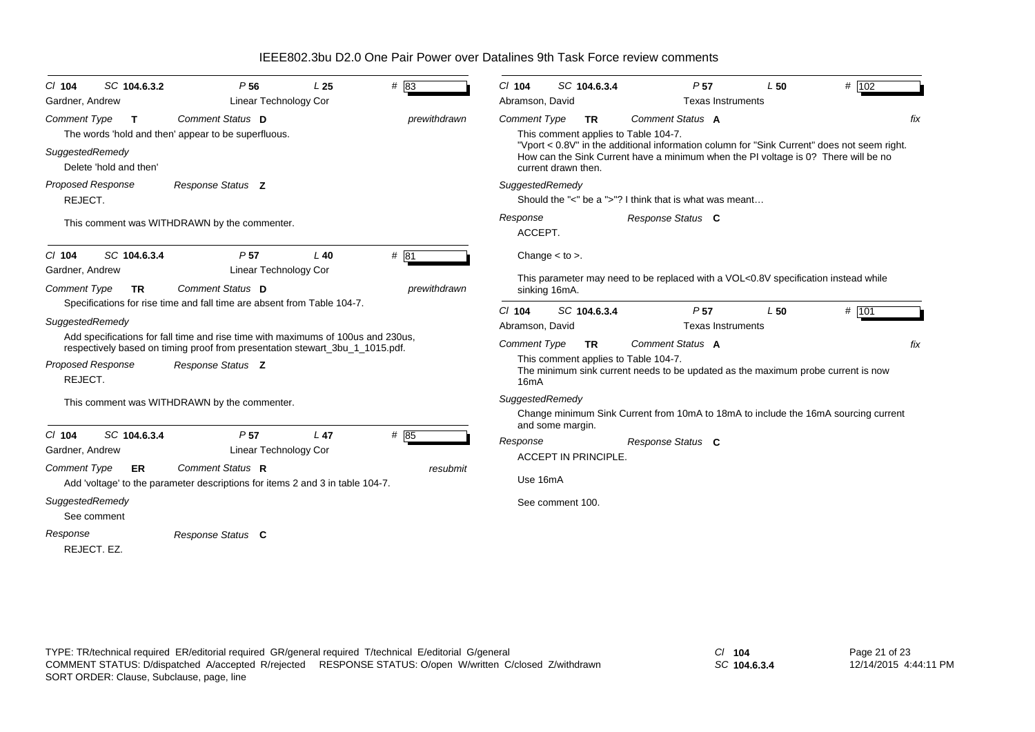| $CI$ 104                                           | SC 104.6.3.2                 | P <sub>56</sub>                                                                                                                                                                       | L <sub>25</sub>  | #83                 | $Cl$ 104                                 | SC 104.6.3.4                                                             | P <sub>57</sub>                                                                                                                                                                                       | L50 | $#$ 102 |  |
|----------------------------------------------------|------------------------------|---------------------------------------------------------------------------------------------------------------------------------------------------------------------------------------|------------------|---------------------|------------------------------------------|--------------------------------------------------------------------------|-------------------------------------------------------------------------------------------------------------------------------------------------------------------------------------------------------|-----|---------|--|
| Gardner, Andrew                                    |                              | <b>Linear Technology Cor</b>                                                                                                                                                          |                  |                     | Abramson, David                          |                                                                          | <b>Texas Instruments</b>                                                                                                                                                                              |     |         |  |
| <b>Comment Type</b><br>SuggestedRemedy             | T.<br>Delete 'hold and then' | Comment Status D<br>The words 'hold and then' appear to be superfluous.                                                                                                               |                  | prewithdrawn        | <b>Comment Type</b>                      | <b>TR</b><br>This comment applies to Table 104-7.<br>current drawn then. | Comment Status A<br>"Vport < 0.8V" in the additional information column for "Sink Current" does not seem right.<br>How can the Sink Current have a minimum when the PI voltage is 0? There will be no |     | fix     |  |
| Proposed Response<br>REJECT.                       |                              | Response Status Z                                                                                                                                                                     |                  |                     | SuggestedRemedy                          |                                                                          | Should the "<" be a ">"? I think that is what was meant                                                                                                                                               |     |         |  |
|                                                    |                              | This comment was WITHDRAWN by the commenter.                                                                                                                                          |                  |                     | Response<br>ACCEPT.                      |                                                                          | Response Status C                                                                                                                                                                                     |     |         |  |
| $Cl$ 104<br>Gardner, Andrew<br><b>Comment Type</b> | SC 104.6.3.4<br><b>TR</b>    | P <sub>57</sub><br><b>Linear Technology Cor</b><br>Comment Status D                                                                                                                   | $L$ 40           | #81<br>prewithdrawn |                                          | Change $<$ to $>$ .<br>sinking 16mA.                                     | This parameter may need to be replaced with a VOL<0.8V specification instead while                                                                                                                    |     |         |  |
|                                                    |                              | Specifications for rise time and fall time are absent from Table 104-7.                                                                                                               |                  |                     | $Cl$ 104                                 | SC 104.6.3.4                                                             | P <sub>57</sub>                                                                                                                                                                                       | L50 | # 101   |  |
| SuggestedRemedy                                    |                              |                                                                                                                                                                                       |                  |                     | Abramson, David                          |                                                                          | <b>Texas Instruments</b>                                                                                                                                                                              |     |         |  |
| <b>Proposed Response</b><br>REJECT.                |                              | Add specifications for fall time and rise time with maximums of 100us and 230us,<br>respectively based on timing proof from presentation stewart_3bu_1_1015.pdf.<br>Response Status Z |                  |                     | <b>Comment Type</b><br>16 <sub>m</sub> A | <b>TR</b><br>This comment applies to Table 104-7.                        | Comment Status A<br>The minimum sink current needs to be updated as the maximum probe current is now                                                                                                  |     | fix     |  |
|                                                    |                              | This comment was WITHDRAWN by the commenter.                                                                                                                                          |                  |                     | SuggestedRemedy                          | and some margin.                                                         | Change minimum Sink Current from 10mA to 18mA to include the 16mA sourcing current                                                                                                                    |     |         |  |
| $Cl$ 104<br>Gardner, Andrew                        | SC 104.6.3.4                 | P <sub>57</sub><br>Linear Technology Cor                                                                                                                                              | L <sub>47</sub>  | # 85                | Response                                 | <b>ACCEPT IN PRINCIPLE</b>                                               | Response Status C                                                                                                                                                                                     |     |         |  |
| <b>Comment Type</b>                                | ER.                          | Comment Status R<br>Add 'voltage' to the parameter descriptions for items 2 and 3 in table 104-7.                                                                                     |                  | resubmit            | Use 16mA                                 |                                                                          |                                                                                                                                                                                                       |     |         |  |
| SuggestedRemedy                                    | See comment                  |                                                                                                                                                                                       | See comment 100. |                     |                                          |                                                                          |                                                                                                                                                                                                       |     |         |  |
| Response<br>REJECT. EZ.                            |                              | Response Status C                                                                                                                                                                     |                  |                     |                                          |                                                                          |                                                                                                                                                                                                       |     |         |  |

*SC* **104.6.3.4**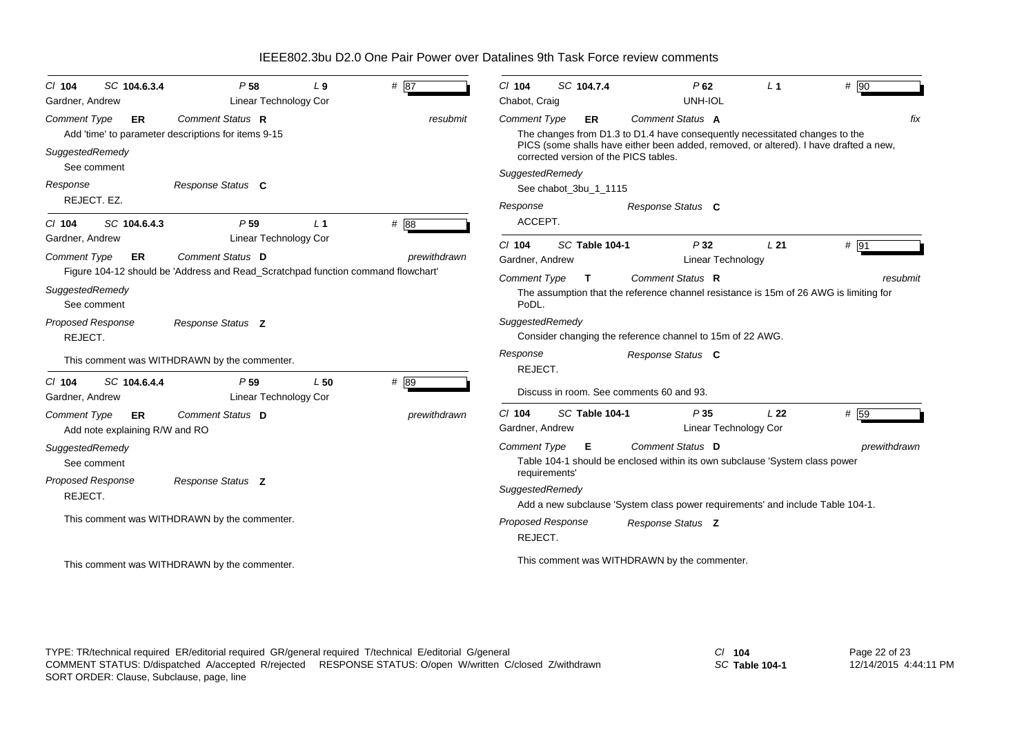| $CI$ 104                               | SC 104.6.3.4                                | P <sub>58</sub>                                                                  | $L_{9}$        | # 87         | $Cl$ 104                             | SC 104.7.4                            |                | $P$ 62                                                                                          | L <sub>1</sub>  | # 90              |
|----------------------------------------|---------------------------------------------|----------------------------------------------------------------------------------|----------------|--------------|--------------------------------------|---------------------------------------|----------------|-------------------------------------------------------------------------------------------------|-----------------|-------------------|
| Gardner, Andrew<br><b>Comment Type</b> | <b>ER</b>                                   | Linear Technology Cor<br>Comment Status R                                        |                | resubmit     | Chabot, Craig<br><b>Comment Type</b> | <b>ER</b>                             |                | UNH-IOL<br><b>Comment Status A</b>                                                              |                 | fix               |
|                                        |                                             | Add 'time' to parameter descriptions for items 9-15                              |                |              |                                      |                                       |                | The changes from D1.3 to D1.4 have consequently necessitated changes to the                     |                 |                   |
| SuggestedRemedy                        | See comment                                 |                                                                                  |                |              |                                      | corrected version of the PICS tables. |                | PICS (some shalls have either been added, removed, or altered). I have drafted a new,           |                 |                   |
|                                        |                                             |                                                                                  |                |              | SuggestedRemedy                      |                                       |                |                                                                                                 |                 |                   |
| Response                               |                                             | Response Status C                                                                |                |              |                                      | See chabot_3bu_1_1115                 |                |                                                                                                 |                 |                   |
|                                        | REJECT. EZ.                                 |                                                                                  |                |              | Response                             |                                       |                | Response Status C                                                                               |                 |                   |
| $CI$ 104                               | SC 104.6.4.3                                | P <sub>59</sub>                                                                  | L <sub>1</sub> | # 88         | ACCEPT.                              |                                       |                |                                                                                                 |                 |                   |
| Gardner, Andrew                        |                                             | Linear Technology Cor                                                            |                |              | $Cl$ 104                             |                                       | SC Table 104-1 | P32                                                                                             | L21             | $# \overline{91}$ |
| <b>Comment Type</b>                    | <b>ER</b>                                   | Comment Status D                                                                 |                | prewithdrawn | Gardner, Andrew                      |                                       |                | Linear Technology                                                                               |                 |                   |
|                                        |                                             | Figure 104-12 should be 'Address and Read_Scratchpad function command flowchart' |                |              | <b>Comment Type</b>                  | $\mathbf{T}$                          |                | Comment Status R                                                                                |                 | resubmit          |
| SuggestedRemedy                        | See comment                                 |                                                                                  |                |              | PoDL.                                |                                       |                | The assumption that the reference channel resistance is 15m of 26 AWG is limiting for           |                 |                   |
|                                        | Proposed Response                           | Response Status Z                                                                |                |              | SuggestedRemedy                      |                                       |                |                                                                                                 |                 |                   |
| REJECT.                                |                                             |                                                                                  |                |              |                                      |                                       |                | Consider changing the reference channel to 15m of 22 AWG.                                       |                 |                   |
|                                        |                                             | This comment was WITHDRAWN by the commenter.                                     |                |              | Response                             |                                       |                | Response Status C                                                                               |                 |                   |
| $CI$ 104                               | SC 104.6.4.4                                | P <sub>59</sub>                                                                  | L50            | # 89         | REJECT.                              |                                       |                |                                                                                                 |                 |                   |
| Gardner, Andrew                        |                                             | Linear Technology Cor                                                            |                |              |                                      |                                       |                | Discuss in room. See comments 60 and 93.                                                        |                 |                   |
| <b>Comment Type</b>                    | <b>ER</b><br>Add note explaining R/W and RO | Comment Status D                                                                 |                | prewithdrawn | $Cl$ 104<br>Gardner, Andrew          |                                       | SC Table 104-1 | P 35<br><b>Linear Technology Cor</b>                                                            | L <sub>22</sub> | # 59              |
| SuggestedRemedy                        | See comment                                 |                                                                                  |                |              | <b>Comment Type</b>                  | Е                                     |                | Comment Status D<br>Table 104-1 should be enclosed within its own subclause 'System class power |                 | prewithdrawn      |
|                                        | Proposed Response                           | Response Status Z                                                                |                |              |                                      | requirements'                         |                |                                                                                                 |                 |                   |
| REJECT.                                |                                             |                                                                                  |                |              | SuggestedRemedy                      |                                       |                |                                                                                                 |                 |                   |
|                                        |                                             | This comment was WITHDRAWN by the commenter.                                     |                |              |                                      |                                       |                | Add a new subclause 'System class power requirements' and include Table 104-1.                  |                 |                   |
|                                        |                                             |                                                                                  |                |              | REJECT.                              | <b>Proposed Response</b>              |                | Response Status Z                                                                               |                 |                   |
|                                        |                                             | This comment was WITHDRAWN by the commenter.                                     |                |              |                                      |                                       |                | This comment was WITHDRAWN by the commenter.                                                    |                 |                   |